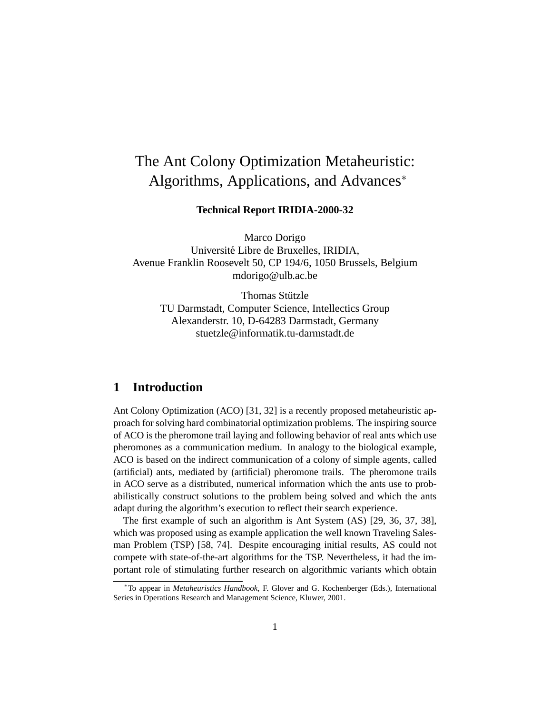# The Ant Colony Optimization Metaheuristic: Algorithms, Applications, and Advances<sup>∗</sup>

#### **Technical Report IRIDIA-2000-32**

Marco Dorigo Universite Libre de Bruxelles, IRIDIA, ´ Avenue Franklin Roosevelt 50, CP 194/6, 1050 Brussels, Belgium mdorigo@ulb.ac.be

Thomas Stützle TU Darmstadt, Computer Science, Intellectics Group Alexanderstr. 10, D-64283 Darmstadt, Germany stuetzle@informatik.tu-darmstadt.de

# **1 Introduction**

Ant Colony Optimization (ACO) [31, 32] is a recently proposed metaheuristic approach for solving hard combinatorial optimization problems. The inspiring source of ACO is the pheromone trail laying and following behavior of real ants which use pheromones as a communication medium. In analogy to the biological example, ACO is based on the indirect communication of a colony of simple agents, called (artificial) ants, mediated by (artificial) pheromone trails. The pheromone trails in ACO serve as a distributed, numerical information which the ants use to probabilistically construct solutions to the problem being solved and which the ants adapt during the algorithm's execution to reflect their search experience.

The first example of such an algorithm is Ant System (AS) [29, 36, 37, 38], which was proposed using as example application the well known Traveling Salesman Problem (TSP) [58, 74]. Despite encouraging initial results, AS could not compete with state-of-the-art algorithms for the TSP. Nevertheless, it had the important role of stimulating further research on algorithmic variants which obtain

<sup>∗</sup>To appear in *Metaheuristics Handbook*, F. Glover and G. Kochenberger (Eds.), International Series in Operations Research and Management Science, Kluwer, 2001.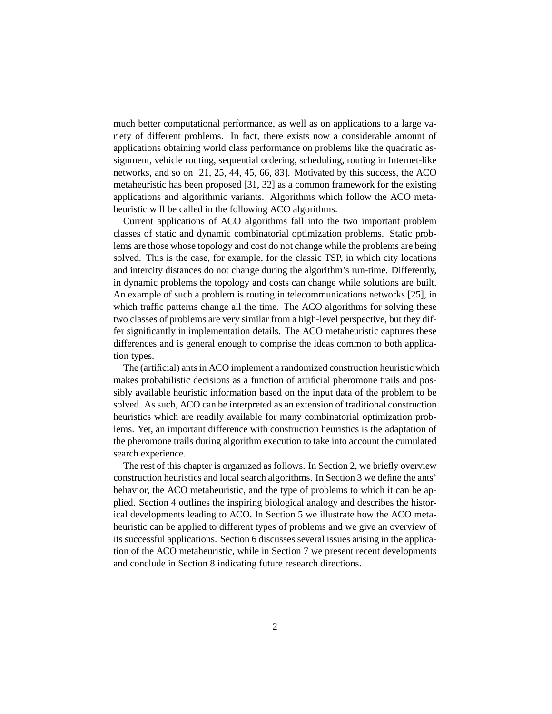much better computational performance, as well as on applications to a large variety of different problems. In fact, there exists now a considerable amount of applications obtaining world class performance on problems like the quadratic assignment, vehicle routing, sequential ordering, scheduling, routing in Internet-like networks, and so on [21, 25, 44, 45, 66, 83]. Motivated by this success, the ACO metaheuristic has been proposed [31, 32] as a common framework for the existing applications and algorithmic variants. Algorithms which follow the ACO metaheuristic will be called in the following ACO algorithms.

Current applications of ACO algorithms fall into the two important problem classes of static and dynamic combinatorial optimization problems. Static problems are those whose topology and cost do not change while the problems are being solved. This is the case, for example, for the classic TSP, in which city locations and intercity distances do not change during the algorithm's run-time. Differently, in dynamic problems the topology and costs can change while solutions are built. An example of such a problem is routing in telecommunications networks [25], in which traffic patterns change all the time. The ACO algorithms for solving these two classes of problems are very similar from a high-level perspective, but they differ significantly in implementation details. The ACO metaheuristic captures these differences and is general enough to comprise the ideas common to both application types.

The (artificial) ants in ACO implement a randomized construction heuristic which makes probabilistic decisions as a function of artificial pheromone trails and possibly available heuristic information based on the input data of the problem to be solved. As such, ACO can be interpreted as an extension of traditional construction heuristics which are readily available for many combinatorial optimization problems. Yet, an important difference with construction heuristics is the adaptation of the pheromone trails during algorithm execution to take into account the cumulated search experience.

The rest of this chapter is organized as follows. In Section 2, we briefly overview construction heuristics and local search algorithms. In Section 3 we define the ants' behavior, the ACO metaheuristic, and the type of problems to which it can be applied. Section 4 outlines the inspiring biological analogy and describes the historical developments leading to ACO. In Section 5 we illustrate how the ACO metaheuristic can be applied to different types of problems and we give an overview of its successful applications. Section 6 discusses several issues arising in the application of the ACO metaheuristic, while in Section 7 we present recent developments and conclude in Section 8 indicating future research directions.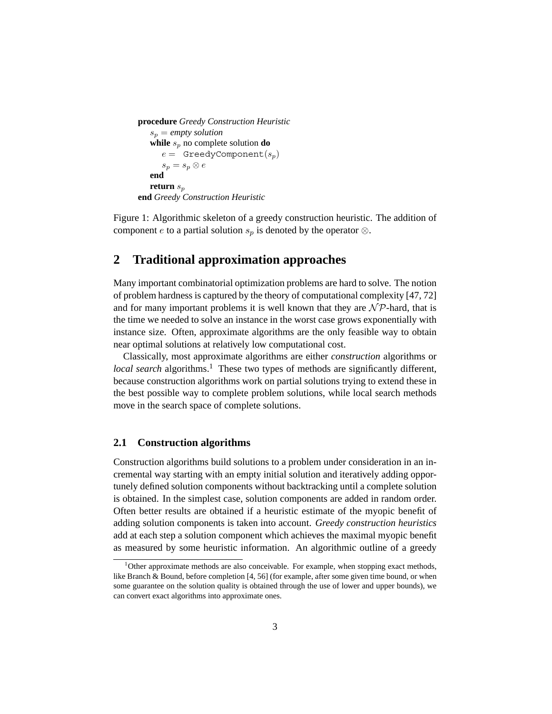```
procedure Greedy Construction Heuristic
   s_p = \text{empty solution}while s_p no complete solution do
      e = GreedyComponent(s_p)
      s_p = s_p \otimes eend
   return s_pend Greedy Construction Heuristic
```
Figure 1: Algorithmic skeleton of a greedy construction heuristic. The addition of component *e* to a partial solution  $s_p$  is denoted by the operator  $\otimes$ .

# **2 Traditional approximation approaches**

Many important combinatorial optimization problems are hard to solve. The notion of problem hardness is captured by the theory of computational complexity [47, 72] and for many important problems it is well known that they are  $N\mathcal{P}$ -hard, that is the time we needed to solve an instance in the worst case grows exponentially with instance size. Often, approximate algorithms are the only feasible way to obtain near optimal solutions at relatively low computational cost.

Classically, most approximate algorithms are either *construction* algorithms or *local search* algorithms.<sup>1</sup> These two types of methods are significantly different, because construction algorithms work on partial solutions trying to extend these in the best possible way to complete problem solutions, while local search methods move in the search space of complete solutions.

#### **2.1 Construction algorithms**

Construction algorithms build solutions to a problem under consideration in an incremental way starting with an empty initial solution and iteratively adding opportunely defined solution components without backtracking until a complete solution is obtained. In the simplest case, solution components are added in random order. Often better results are obtained if a heuristic estimate of the myopic benefit of adding solution components is taken into account. *Greedy construction heuristics* add at each step a solution component which achieves the maximal myopic benefit as measured by some heuristic information. An algorithmic outline of a greedy

<sup>&</sup>lt;sup>1</sup>Other approximate methods are also conceivable. For example, when stopping exact methods, like Branch & Bound, before completion [4, 56] (for example, after some given time bound, or when some guarantee on the solution quality is obtained through the use of lower and upper bounds), we can convert exact algorithms into approximate ones.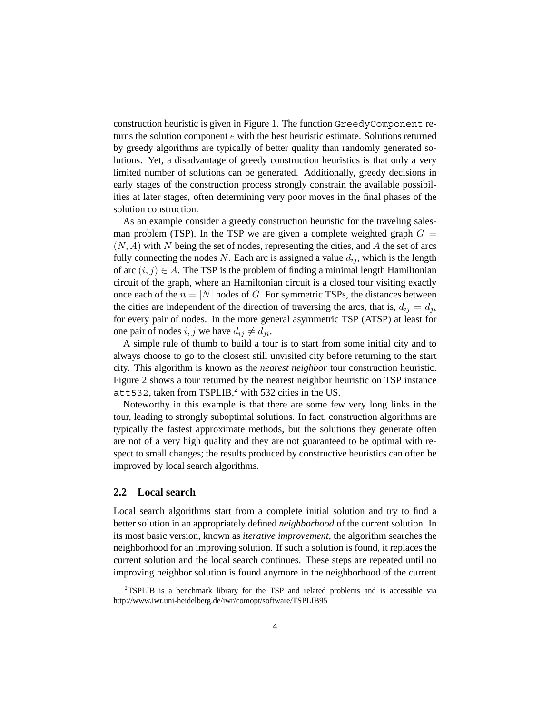construction heuristic is given in Figure 1. The function GreedyComponent returns the solution component  $e$  with the best heuristic estimate. Solutions returned by greedy algorithms are typically of better quality than randomly generated solutions. Yet, a disadvantage of greedy construction heuristics is that only a very limited number of solutions can be generated. Additionally, greedy decisions in early stages of the construction process strongly constrain the available possibilities at later stages, often determining very poor moves in the final phases of the solution construction.

As an example consider a greedy construction heuristic for the traveling salesman problem (TSP). In the TSP we are given a complete weighted graph  $G =$  $(N, A)$  with N being the set of nodes, representing the cities, and A the set of arcs fully connecting the nodes N. Each arc is assigned a value  $d_{ij}$ , which is the length of arc  $(i, j) \in A$ . The TSP is the problem of finding a minimal length Hamiltonian circuit of the graph, where an Hamiltonian circuit is a closed tour visiting exactly once each of the  $n = |N|$  nodes of G. For symmetric TSPs, the distances between the cities are independent of the direction of traversing the arcs, that is,  $d_{ij} = d_{ji}$ for every pair of nodes. In the more general asymmetric TSP (ATSP) at least for one pair of nodes i, j we have  $d_{ij} \neq d_{ji}$ .

A simple rule of thumb to build a tour is to start from some initial city and to always choose to go to the closest still unvisited city before returning to the start city. This algorithm is known as the *nearest neighbor* tour construction heuristic. Figure 2 shows a tour returned by the nearest neighbor heuristic on TSP instance att532, taken from TSPLIB,<sup>2</sup> with 532 cities in the US.

Noteworthy in this example is that there are some few very long links in the tour, leading to strongly suboptimal solutions. In fact, construction algorithms are typically the fastest approximate methods, but the solutions they generate often are not of a very high quality and they are not guaranteed to be optimal with respect to small changes; the results produced by constructive heuristics can often be improved by local search algorithms.

#### **2.2 Local search**

Local search algorithms start from a complete initial solution and try to find a better solution in an appropriately defined *neighborhood* of the current solution. In its most basic version, known as *iterative improvement*, the algorithm searches the neighborhood for an improving solution. If such a solution is found, it replaces the current solution and the local search continues. These steps are repeated until no improving neighbor solution is found anymore in the neighborhood of the current

<sup>&</sup>lt;sup>2</sup>TSPLIB is a benchmark library for the TSP and related problems and is accessible via http://www.iwr.uni-heidelberg.de/iwr/comopt/software/TSPLIB95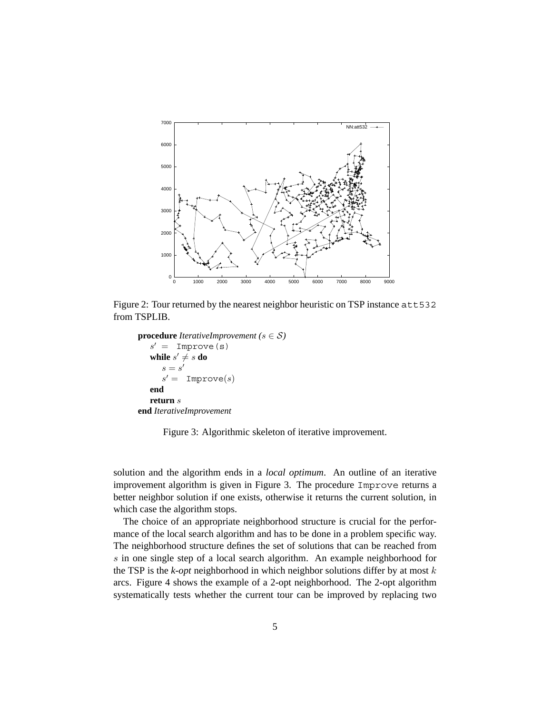

Figure 2: Tour returned by the nearest neighbor heuristic on TSP instance  $att532$ from TSPLIB.

```
procedure IterativeImprovement (s \in S)
   s' = Improve(s)
  while s' \neq s do
      s = s's' = Improve(s)end
   return s
end IterativeImprovement
```
Figure 3: Algorithmic skeleton of iterative improvement.

solution and the algorithm ends in a *local optimum*. An outline of an iterative improvement algorithm is given in Figure 3. The procedure Improve returns a better neighbor solution if one exists, otherwise it returns the current solution, in which case the algorithm stops.

The choice of an appropriate neighborhood structure is crucial for the performance of the local search algorithm and has to be done in a problem specific way. The neighborhood structure defines the set of solutions that can be reached from s in one single step of a local search algorithm. An example neighborhood for the TSP is the *k-opt* neighborhood in which neighbor solutions differ by at most k arcs. Figure 4 shows the example of a 2-opt neighborhood. The 2-opt algorithm systematically tests whether the current tour can be improved by replacing two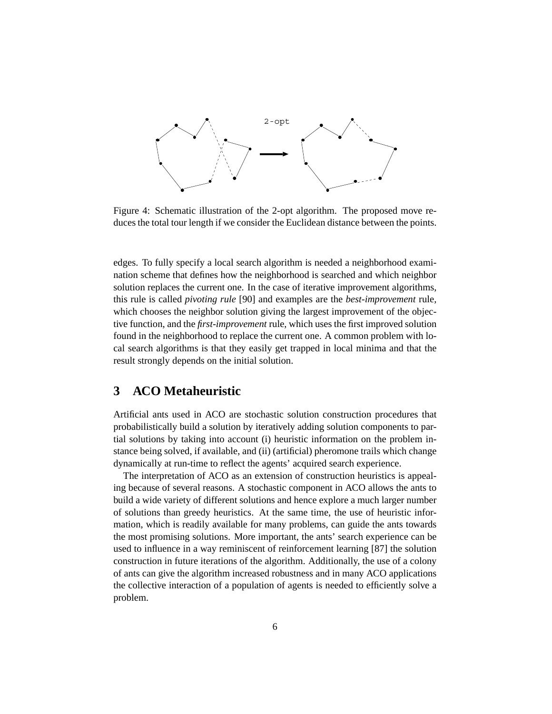

Figure 4: Schematic illustration of the 2-opt algorithm. The proposed move reduces the total tour length if we consider the Euclidean distance between the points.

edges. To fully specify a local search algorithm is needed a neighborhood examination scheme that defines how the neighborhood is searched and which neighbor solution replaces the current one. In the case of iterative improvement algorithms, this rule is called *pivoting rule* [90] and examples are the *best-improvement* rule, which chooses the neighbor solution giving the largest improvement of the objective function, and the *first-improvement* rule, which uses the first improved solution found in the neighborhood to replace the current one. A common problem with local search algorithms is that they easily get trapped in local minima and that the result strongly depends on the initial solution.

# **3 ACO Metaheuristic**

Artificial ants used in ACO are stochastic solution construction procedures that probabilistically build a solution by iteratively adding solution components to partial solutions by taking into account (i) heuristic information on the problem instance being solved, if available, and (ii) (artificial) pheromone trails which change dynamically at run-time to reflect the agents' acquired search experience.

The interpretation of ACO as an extension of construction heuristics is appealing because of several reasons. A stochastic component in ACO allows the ants to build a wide variety of different solutions and hence explore a much larger number of solutions than greedy heuristics. At the same time, the use of heuristic information, which is readily available for many problems, can guide the ants towards the most promising solutions. More important, the ants' search experience can be used to influence in a way reminiscent of reinforcement learning [87] the solution construction in future iterations of the algorithm. Additionally, the use of a colony of ants can give the algorithm increased robustness and in many ACO applications the collective interaction of a population of agents is needed to efficiently solve a problem.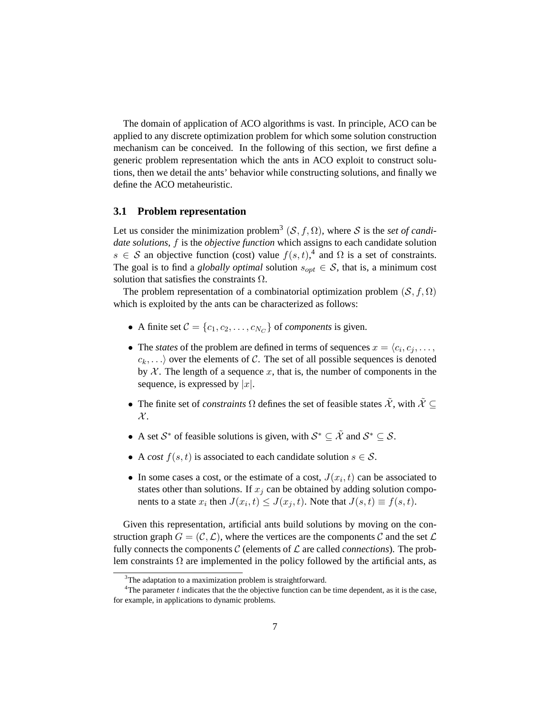The domain of application of ACO algorithms is vast. In principle, ACO can be applied to any discrete optimization problem for which some solution construction mechanism can be conceived. In the following of this section, we first define a generic problem representation which the ants in ACO exploit to construct solutions, then we detail the ants' behavior while constructing solutions, and finally we define the ACO metaheuristic.

#### **3.1 Problem representation**

Let us consider the minimization problem<sup>3</sup> ( $S, f, \Omega$ ), where S is the *set of candidate solutions*, f is the *objective function* which assigns to each candidate solution  $s \in S$  an objective function (cost) value  $f(s,t)$ ,<sup>4</sup> and  $\Omega$  is a set of constraints. The goal is to find a *globally optimal* solution  $s_{opt} \in S$ , that is, a minimum cost solution that satisfies the constraints  $\Omega$ .

The problem representation of a combinatorial optimization problem  $(S, f, \Omega)$ which is exploited by the ants can be characterized as follows:

- A finite set  $C = \{c_1, c_2, \ldots, c_{N_C}\}$  of *components* is given.
- The *states* of the problem are defined in terms of sequences  $x = (c_i, c_j, \dots, c_j)$  $c_k$ ,...) over the elements of C. The set of all possible sequences is denoted by  $X$ . The length of a sequence  $x$ , that is, the number of components in the sequence, is expressed by  $|x|$ .
- The finite set of *constraints*  $\Omega$  defines the set of feasible states  $\tilde{\mathcal{X}}$ , with  $\tilde{\mathcal{X}} \subseteq$  $\mathcal{X}$ .
- A set  $S^*$  of feasible solutions is given, with  $S^* \subseteq \tilde{\mathcal{X}}$  and  $S^* \subseteq \mathcal{S}$ .
- A *cost*  $f(s, t)$  is associated to each candidate solution  $s \in S$ .
- In some cases a cost, or the estimate of a cost,  $J(x_i, t)$  can be associated to states other than solutions. If  $x_j$  can be obtained by adding solution components to a state  $x_i$  then  $J(x_i, t) \leq J(x_j, t)$ . Note that  $J(s, t) \equiv f(s, t)$ .

Given this representation, artificial ants build solutions by moving on the construction graph  $G = (\mathcal{C}, \mathcal{L})$ , where the vertices are the components C and the set  $\mathcal{L}$ fully connects the components  $C$  (elements of  $\mathcal L$  are called *connections*). The problem constraints  $\Omega$  are implemented in the policy followed by the artificial ants, as

 $3$ The adaptation to a maximization problem is straightforward.

<sup>&</sup>lt;sup>4</sup>The parameter  $t$  indicates that the the objective function can be time dependent, as it is the case, for example, in applications to dynamic problems.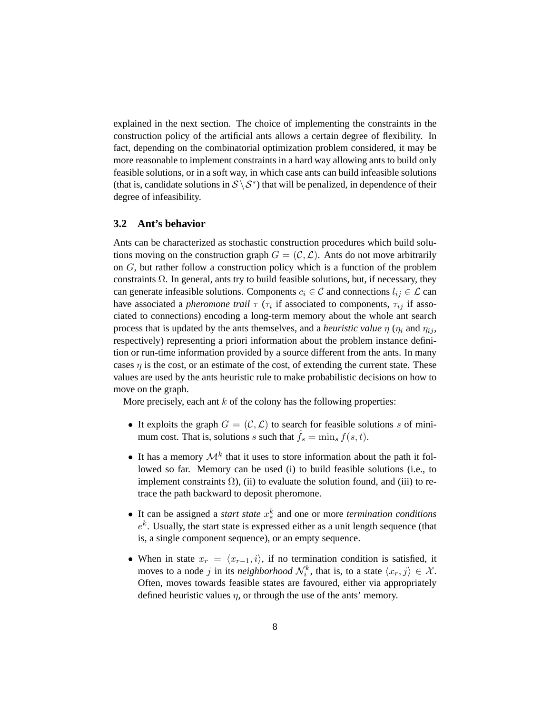explained in the next section. The choice of implementing the constraints in the construction policy of the artificial ants allows a certain degree of flexibility. In fact, depending on the combinatorial optimization problem considered, it may be more reasonable to implement constraints in a hard way allowing ants to build only feasible solutions, or in a soft way, in which case ants can build infeasible solutions (that is, candidate solutions in  $S\ S^*$ ) that will be penalized, in dependence of their degree of infeasibility.

#### **3.2 Ant's behavior**

Ants can be characterized as stochastic construction procedures which build solutions moving on the construction graph  $G = (\mathcal{C}, \mathcal{L})$ . Ants do not move arbitrarily on G, but rather follow a construction policy which is a function of the problem constraints  $\Omega$ . In general, ants try to build feasible solutions, but, if necessary, they can generate infeasible solutions. Components  $c_i \in \mathcal{C}$  and connections  $l_{ij} \in \mathcal{L}$  can have associated a *pheromone trail*  $\tau$  ( $\tau$ <sub>i</sub> if associated to components,  $\tau$ <sub>ij</sub> if associated to connections) encoding a long-term memory about the whole ant search process that is updated by the ants themselves, and a *heuristic value*  $\eta$  ( $\eta_i$  and  $\eta_{ij}$ , respectively) representing a priori information about the problem instance definition or run-time information provided by a source different from the ants. In many cases  $\eta$  is the cost, or an estimate of the cost, of extending the current state. These values are used by the ants heuristic rule to make probabilistic decisions on how to move on the graph.

More precisely, each ant  $k$  of the colony has the following properties:

- It exploits the graph  $G = (\mathcal{C}, \mathcal{L})$  to search for feasible solutions s of minimum cost. That is, solutions s such that  $\hat{f}_s = \min_s f(s, t)$ .
- It has a memory  $\mathcal{M}^k$  that it uses to store information about the path it followed so far. Memory can be used (i) to build feasible solutions (i.e., to implement constraints  $\Omega$ ), (ii) to evaluate the solution found, and (iii) to retrace the path backward to deposit pheromone.
- It can be assigned a *start state*  $x_s^k$  and one or more *termination conditions*  $e^{k}$ . Usually, the start state is expressed either as a unit length sequence (that is, a single component sequence), or an empty sequence.
- When in state  $x_r = \langle x_{r-1}, i \rangle$ , if no termination condition is satisfied, it moves to a node j in its *neighborhood*  $\mathcal{N}_i^k$ , that is, to a state  $\langle x_r, j \rangle \in \mathcal{X}$ . Often, moves towards feasible states are favoured, either via appropriately defined heuristic values  $\eta$ , or through the use of the ants' memory.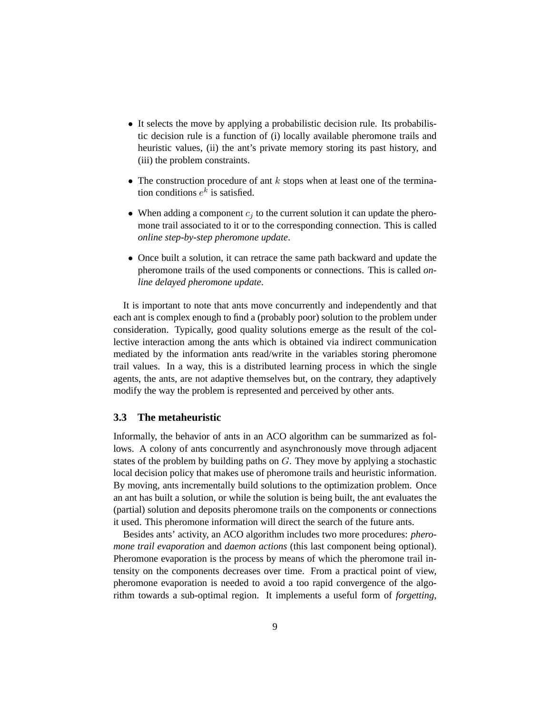- It selects the move by applying a probabilistic decision rule. Its probabilistic decision rule is a function of (i) locally available pheromone trails and heuristic values, (ii) the ant's private memory storing its past history, and (iii) the problem constraints.
- The construction procedure of ant  $k$  stops when at least one of the termination conditions  $e^k$  is satisfied.
- When adding a component  $c_i$  to the current solution it can update the pheromone trail associated to it or to the corresponding connection. This is called *online step-by-step pheromone update*.
- Once built a solution, it can retrace the same path backward and update the pheromone trails of the used components or connections. This is called *online delayed pheromone update*.

It is important to note that ants move concurrently and independently and that each ant is complex enough to find a (probably poor) solution to the problem under consideration. Typically, good quality solutions emerge as the result of the collective interaction among the ants which is obtained via indirect communication mediated by the information ants read/write in the variables storing pheromone trail values. In a way, this is a distributed learning process in which the single agents, the ants, are not adaptive themselves but, on the contrary, they adaptively modify the way the problem is represented and perceived by other ants.

#### **3.3 The metaheuristic**

Informally, the behavior of ants in an ACO algorithm can be summarized as follows. A colony of ants concurrently and asynchronously move through adjacent states of the problem by building paths on G. They move by applying a stochastic local decision policy that makes use of pheromone trails and heuristic information. By moving, ants incrementally build solutions to the optimization problem. Once an ant has built a solution, or while the solution is being built, the ant evaluates the (partial) solution and deposits pheromone trails on the components or connections it used. This pheromone information will direct the search of the future ants.

Besides ants' activity, an ACO algorithm includes two more procedures: *pheromone trail evaporation* and *daemon actions* (this last component being optional). Pheromone evaporation is the process by means of which the pheromone trail intensity on the components decreases over time. From a practical point of view, pheromone evaporation is needed to avoid a too rapid convergence of the algorithm towards a sub-optimal region. It implements a useful form of *forgetting*,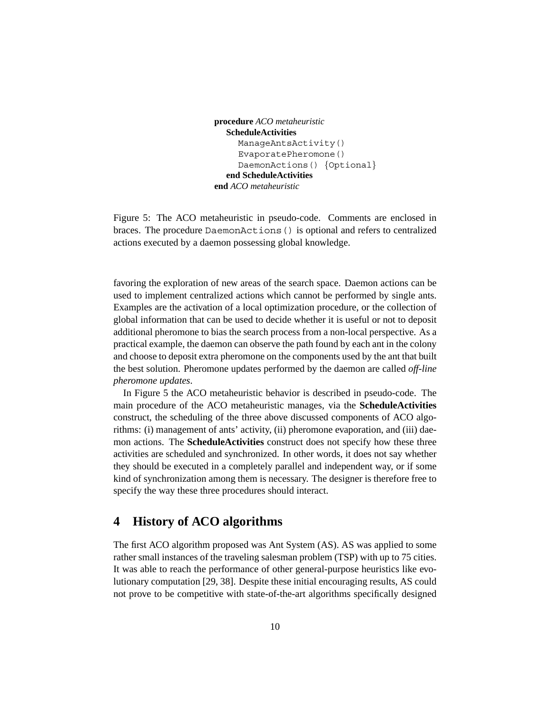```
procedure ACO metaheuristic
  ScheduleActivities
     ManageAntsActivity()
     EvaporatePheromone()
     DaemonActions() {Optional}
  end ScheduleActivities
end ACO metaheuristic
```
Figure 5: The ACO metaheuristic in pseudo-code. Comments are enclosed in braces. The procedure DaemonActions() is optional and refers to centralized actions executed by a daemon possessing global knowledge.

favoring the exploration of new areas of the search space. Daemon actions can be used to implement centralized actions which cannot be performed by single ants. Examples are the activation of a local optimization procedure, or the collection of global information that can be used to decide whether it is useful or not to deposit additional pheromone to bias the search process from a non-local perspective. As a practical example, the daemon can observe the path found by each ant in the colony and choose to deposit extra pheromone on the components used by the ant that built the best solution. Pheromone updates performed by the daemon are called *off-line pheromone updates*.

In Figure 5 the ACO metaheuristic behavior is described in pseudo-code. The main procedure of the ACO metaheuristic manages, via the **ScheduleActivities** construct, the scheduling of the three above discussed components of ACO algorithms: (i) management of ants' activity, (ii) pheromone evaporation, and (iii) daemon actions. The **ScheduleActivities** construct does not specify how these three activities are scheduled and synchronized. In other words, it does not say whether they should be executed in a completely parallel and independent way, or if some kind of synchronization among them is necessary. The designer is therefore free to specify the way these three procedures should interact.

# **4 History of ACO algorithms**

The first ACO algorithm proposed was Ant System (AS). AS was applied to some rather small instances of the traveling salesman problem (TSP) with up to 75 cities. It was able to reach the performance of other general-purpose heuristics like evolutionary computation [29, 38]. Despite these initial encouraging results, AS could not prove to be competitive with state-of-the-art algorithms specifically designed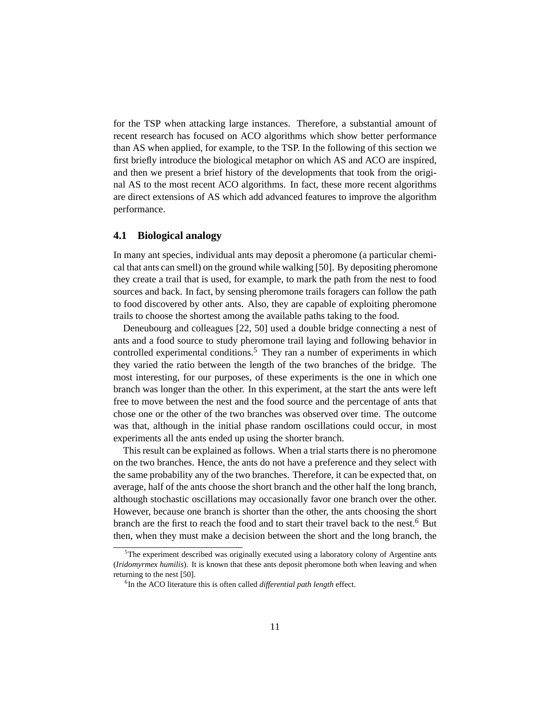for the TSP when attacking large instances. Therefore, a substantial amount of recent research has focused on ACO algorithms which show better performance than AS when applied, for example, to the TSP. In the following of this section we first briefly introduce the biological metaphor on which AS and ACO are inspired, and then we present a brief history of the developments that took from the original AS to the most recent ACO algorithms. In fact, these more recent algorithms are direct extensions of AS which add advanced features to improve the algorithm performance.

#### **4.1 Biological analogy**

In many ant species, individual ants may deposit a pheromone (a particular chemical that ants can smell) on the ground while walking [50]. By depositing pheromone they create a trail that is used, for example, to mark the path from the nest to food sources and back. In fact, by sensing pheromone trails foragers can follow the path to food discovered by other ants. Also, they are capable of exploiting pheromone trails to choose the shortest among the available paths taking to the food.

Deneubourg and colleagues [22, 50] used a double bridge connecting a nest of ants and a food source to study pheromone trail laying and following behavior in controlled experimental conditions.<sup>5</sup> They ran a number of experiments in which they varied the ratio between the length of the two branches of the bridge. The most interesting, for our purposes, of these experiments is the one in which one branch was longer than the other. In this experiment, at the start the ants were left free to move between the nest and the food source and the percentage of ants that chose one or the other of the two branches was observed over time. The outcome was that, although in the initial phase random oscillations could occur, in most experiments all the ants ended up using the shorter branch.

This result can be explained as follows. When a trial starts there is no pheromone on the two branches. Hence, the ants do not have a preference and they select with the same probability any of the two branches. Therefore, it can be expected that, on average, half of the ants choose the short branch and the other half the long branch, although stochastic oscillations may occasionally favor one branch over the other. However, because one branch is shorter than the other, the ants choosing the short branch are the first to reach the food and to start their travel back to the nest.<sup>6</sup> But then, when they must make a decision between the short and the long branch, the

<sup>&</sup>lt;sup>5</sup>The experiment described was originally executed using a laboratory colony of Argentine ants (*Iridomyrmex humilis*). It is known that these ants deposit pheromone both when leaving and when returning to the nest [50].

<sup>6</sup> In the ACO literature this is often called *differential path length* effect.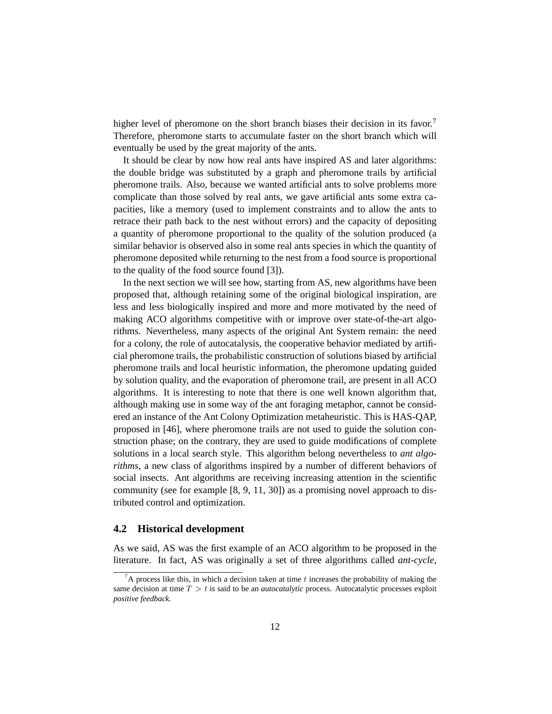higher level of pheromone on the short branch biases their decision in its favor.<sup>7</sup> Therefore, pheromone starts to accumulate faster on the short branch which will eventually be used by the great majority of the ants.

It should be clear by now how real ants have inspired AS and later algorithms: the double bridge was substituted by a graph and pheromone trails by artificial pheromone trails. Also, because we wanted artificial ants to solve problems more complicate than those solved by real ants, we gave artificial ants some extra capacities, like a memory (used to implement constraints and to allow the ants to retrace their path back to the nest without errors) and the capacity of depositing a quantity of pheromone proportional to the quality of the solution produced (a similar behavior is observed also in some real ants species in which the quantity of pheromone deposited while returning to the nest from a food source is proportional to the quality of the food source found [3]).

In the next section we will see how, starting from AS, new algorithms have been proposed that, although retaining some of the original biological inspiration, are less and less biologically inspired and more and more motivated by the need of making ACO algorithms competitive with or improve over state-of-the-art algorithms. Nevertheless, many aspects of the original Ant System remain: the need for a colony, the role of autocatalysis, the cooperative behavior mediated by artificial pheromone trails, the probabilistic construction of solutions biased by artificial pheromone trails and local heuristic information, the pheromone updating guided by solution quality, and the evaporation of pheromone trail, are present in all ACO algorithms. It is interesting to note that there is one well known algorithm that, although making use in some way of the ant foraging metaphor, cannot be considered an instance of the Ant Colony Optimization metaheuristic. This is HAS-QAP, proposed in [46], where pheromone trails are not used to guide the solution construction phase; on the contrary, they are used to guide modifications of complete solutions in a local search style. This algorithm belong nevertheless to *ant algorithms*, a new class of algorithms inspired by a number of different behaviors of social insects. Ant algorithms are receiving increasing attention in the scientific community (see for example  $[8, 9, 11, 30]$ ) as a promising novel approach to distributed control and optimization.

#### **4.2 Historical development**

As we said, AS was the first example of an ACO algorithm to be proposed in the literature. In fact, AS was originally a set of three algorithms called *ant-cycle*,

 $^7$ A process like this, in which a decision taken at time t increases the probability of making the same decision at time  $T > t$  is said to be an *autocatalytic* process. Autocatalytic processes exploit *positive feedback.*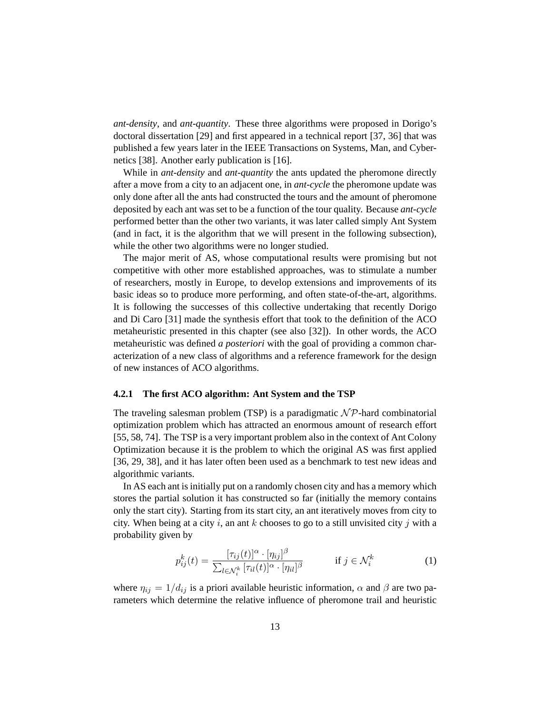*ant-density*, and *ant-quantity*. These three algorithms were proposed in Dorigo's doctoral dissertation [29] and first appeared in a technical report [37, 36] that was published a few years later in the IEEE Transactions on Systems, Man, and Cybernetics [38]. Another early publication is [16].

While in *ant-density* and *ant-quantity* the ants updated the pheromone directly after a move from a city to an adjacent one, in *ant-cycle* the pheromone update was only done after all the ants had constructed the tours and the amount of pheromone deposited by each ant was set to be a function of the tour quality. Because *ant-cycle* performed better than the other two variants, it was later called simply Ant System (and in fact, it is the algorithm that we will present in the following subsection), while the other two algorithms were no longer studied.

The major merit of AS, whose computational results were promising but not competitive with other more established approaches, was to stimulate a number of researchers, mostly in Europe, to develop extensions and improvements of its basic ideas so to produce more performing, and often state-of-the-art, algorithms. It is following the successes of this collective undertaking that recently Dorigo and Di Caro [31] made the synthesis effort that took to the definition of the ACO metaheuristic presented in this chapter (see also [32]). In other words, the ACO metaheuristic was defined *a posteriori* with the goal of providing a common characterization of a new class of algorithms and a reference framework for the design of new instances of ACO algorithms.

#### **4.2.1 The first ACO algorithm: Ant System and the TSP**

The traveling salesman problem (TSP) is a paradigmatic  $N\mathcal{P}$ -hard combinatorial optimization problem which has attracted an enormous amount of research effort [55, 58, 74]. The TSP is a very important problem also in the context of Ant Colony Optimization because it is the problem to which the original AS was first applied [36, 29, 38], and it has later often been used as a benchmark to test new ideas and algorithmic variants.

In AS each ant is initially put on a randomly chosen city and has a memory which stores the partial solution it has constructed so far (initially the memory contains only the start city). Starting from its start city, an ant iteratively moves from city to city. When being at a city  $i$ , an ant  $k$  chooses to go to a still unvisited city  $j$  with a probability given by

$$
p_{ij}^k(t) = \frac{[\tau_{ij}(t)]^\alpha \cdot [\eta_{ij}]^\beta}{\sum_{l \in \mathcal{N}_i^k} [\tau_{il}(t)]^\alpha \cdot [\eta_{il}]^\beta} \quad \text{if } j \in \mathcal{N}_i^k \tag{1}
$$

where  $\eta_{ij} = 1/d_{ij}$  is a priori available heuristic information,  $\alpha$  and  $\beta$  are two parameters which determine the relative influence of pheromone trail and heuristic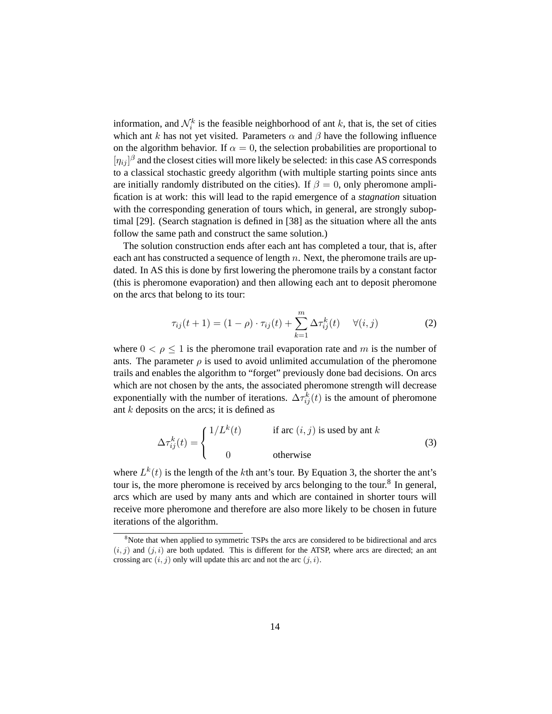information, and  $\mathcal{N}_i^k$  is the feasible neighborhood of ant k, that is, the set of cities which ant k has not yet visited. Parameters  $\alpha$  and  $\beta$  have the following influence on the algorithm behavior. If  $\alpha = 0$ , the selection probabilities are proportional to  $[\eta_{ij}]^{\beta}$  and the closest cities will more likely be selected: in this case AS corresponds to a classical stochastic greedy algorithm (with multiple starting points since ants are initially randomly distributed on the cities). If  $\beta = 0$ , only pheromone amplification is at work: this will lead to the rapid emergence of a *stagnation* situation with the corresponding generation of tours which, in general, are strongly suboptimal [29]. (Search stagnation is defined in [38] as the situation where all the ants follow the same path and construct the same solution.)

The solution construction ends after each ant has completed a tour, that is, after each ant has constructed a sequence of length  $n$ . Next, the pheromone trails are updated. In AS this is done by first lowering the pheromone trails by a constant factor (this is pheromone evaporation) and then allowing each ant to deposit pheromone on the arcs that belong to its tour:

$$
\tau_{ij}(t+1) = (1-\rho) \cdot \tau_{ij}(t) + \sum_{k=1}^{m} \Delta \tau_{ij}^k(t) \quad \forall (i,j)
$$
 (2)

where  $0 < \rho \le 1$  is the pheromone trail evaporation rate and m is the number of ants. The parameter  $\rho$  is used to avoid unlimited accumulation of the pheromone trails and enables the algorithm to "forget" previously done bad decisions. On arcs which are not chosen by the ants, the associated pheromone strength will decrease exponentially with the number of iterations.  $\Delta \tau_{ij}^k(t)$  is the amount of pheromone ant  $k$  deposits on the arcs; it is defined as

$$
\Delta \tau_{ij}^k(t) = \begin{cases} 1/L^k(t) & \text{if arc } (i, j) \text{ is used by ant } k \\ 0 & \text{otherwise} \end{cases}
$$
 (3)

where  $L^k(t)$  is the length of the kth ant's tour. By Equation 3, the shorter the ant's tour is, the more pheromone is received by arcs belonging to the tour.<sup>8</sup> In general, arcs which are used by many ants and which are contained in shorter tours will receive more pheromone and therefore are also more likely to be chosen in future iterations of the algorithm.

<sup>&</sup>lt;sup>8</sup>Note that when applied to symmetric TSPs the arcs are considered to be bidirectional and arcs  $(i, j)$  and  $(j, i)$  are both updated. This is different for the ATSP, where arcs are directed; an ant crossing arc  $(i, j)$  only will update this arc and not the arc  $(j, i)$ .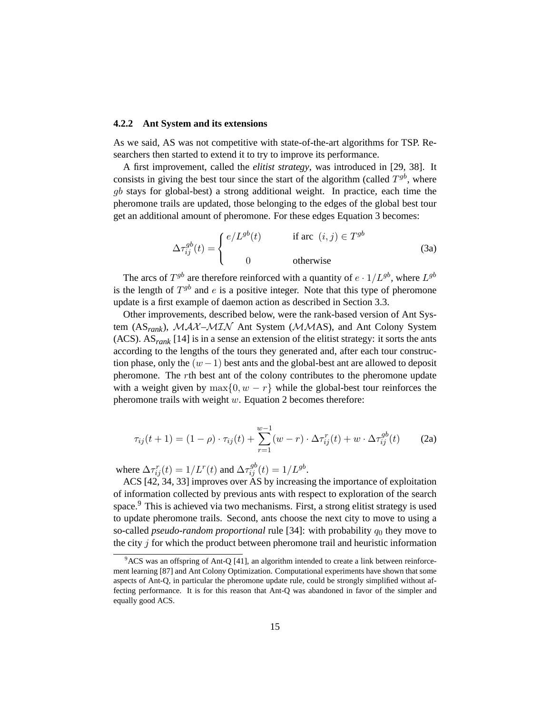#### **4.2.2 Ant System and its extensions**

As we said, AS was not competitive with state-of-the-art algorithms for TSP. Researchers then started to extend it to try to improve its performance.

A first improvement, called the *elitist strategy*, was introduced in [29, 38]. It consists in giving the best tour since the start of the algorithm (called  $T^{gb}$ , where gb stays for global-best) a strong additional weight. In practice, each time the pheromone trails are updated, those belonging to the edges of the global best tour get an additional amount of pheromone. For these edges Equation 3 becomes:

$$
\Delta \tau_{ij}^{gb}(t) = \begin{cases} e/L^{gb}(t) & \text{if arc } (i,j) \in T^{gb} \\ 0 & \text{otherwise} \end{cases}
$$
 (3a)

The arcs of  $T^{gb}$  are therefore reinforced with a quantity of  $e \cdot 1/L^{gb}$ , where  $L^{gb}$ is the length of  $T^{gb}$  and e is a positive integer. Note that this type of pheromone update is a first example of daemon action as described in Section 3.3.

Other improvements, described below, were the rank-based version of Ant System  $(AS<sub>rank</sub>)$ ,  $MAX-MIN$  Ant System ( $MMAS$ ), and Ant Colony System (ACS). AS*rank* [14] is in a sense an extension of the elitist strategy: it sorts the ants according to the lengths of the tours they generated and, after each tour construction phase, only the  $(w - 1)$  best ants and the global-best ant are allowed to deposit pheromone. The rth best ant of the colony contributes to the pheromone update with a weight given by  $\max\{0, w - r\}$  while the global-best tour reinforces the pheromone trails with weight  $w$ . Equation 2 becomes therefore:

$$
\tau_{ij}(t+1) = (1-\rho) \cdot \tau_{ij}(t) + \sum_{r=1}^{w-1} (w-r) \cdot \Delta \tau_{ij}^r(t) + w \cdot \Delta \tau_{ij}^{gb}(t)
$$
 (2a)

where  $\Delta \tau_{ij}^r(t) = 1/L^r(t)$  and  $\Delta \tau_{ij}^{gb}(t) = 1/L^{gb}$ .

ACS [42, 34, 33] improves over AS by increasing the importance of exploitation of information collected by previous ants with respect to exploration of the search space.<sup>9</sup> This is achieved via two mechanisms. First, a strong elitist strategy is used to update pheromone trails. Second, ants choose the next city to move to using a so-called *pseudo-random proportional* rule [34]: with probability  $q_0$  they move to the city  $j$  for which the product between pheromone trail and heuristic information

<sup>&</sup>lt;sup>9</sup> ACS was an offspring of Ant-Q [41], an algorithm intended to create a link between reinforcement learning [87] and Ant Colony Optimization. Computational experiments have shown that some aspects of Ant-Q, in particular the pheromone update rule, could be strongly simplified without affecting performance. It is for this reason that Ant-Q was abandoned in favor of the simpler and equally good ACS.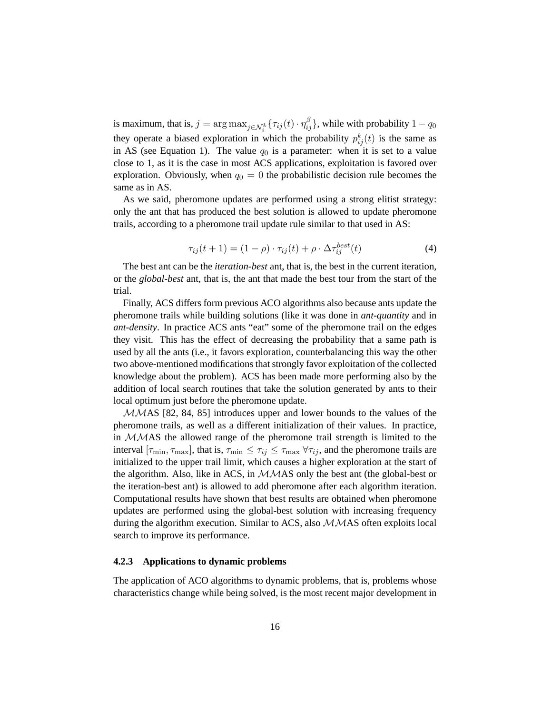is maximum, that is,  $j = \arg \max_{j \in \mathcal{N}_i^k} {\{\tau_{ij}(t) \cdot \eta_{ij}^{\beta}\}}$ , while with probability  $1 - q_0$ they operate a biased exploration in which the probability  $p_{ij}^k(t)$  is the same as in AS (see Equation 1). The value  $q_0$  is a parameter: when it is set to a value close to 1, as it is the case in most ACS applications, exploitation is favored over exploration. Obviously, when  $q_0 = 0$  the probabilistic decision rule becomes the same as in AS.

As we said, pheromone updates are performed using a strong elitist strategy: only the ant that has produced the best solution is allowed to update pheromone trails, according to a pheromone trail update rule similar to that used in AS:

$$
\tau_{ij}(t+1) = (1-\rho) \cdot \tau_{ij}(t) + \rho \cdot \Delta \tau_{ij}^{best}(t)
$$
\n(4)

The best ant can be the *iteration-best* ant, that is, the best in the current iteration, or the *global-best* ant, that is, the ant that made the best tour from the start of the trial.

Finally, ACS differs form previous ACO algorithms also because ants update the pheromone trails while building solutions (like it was done in *ant-quantity* and in *ant-density*. In practice ACS ants "eat" some of the pheromone trail on the edges they visit. This has the effect of decreasing the probability that a same path is used by all the ants (i.e., it favors exploration, counterbalancing this way the other two above-mentioned modifications that strongly favor exploitation of the collected knowledge about the problem). ACS has been made more performing also by the addition of local search routines that take the solution generated by ants to their local optimum just before the pheromone update.

MMAS [82, 84, 85] introduces upper and lower bounds to the values of the pheromone trails, as well as a different initialization of their values. In practice, in  $MMS$  the allowed range of the pheromone trail strength is limited to the interval  $[\tau_{\min}, \tau_{\max}]$ , that is,  $\tau_{\min} \leq \tau_{ij} \leq \tau_{\max} \,\forall \tau_{ij}$ , and the pheromone trails are initialized to the upper trail limit, which causes a higher exploration at the start of the algorithm. Also, like in ACS, in MMAS only the best ant (the global-best or the iteration-best ant) is allowed to add pheromone after each algorithm iteration. Computational results have shown that best results are obtained when pheromone updates are performed using the global-best solution with increasing frequency during the algorithm execution. Similar to ACS, also  $MMS$  often exploits local search to improve its performance.

#### **4.2.3 Applications to dynamic problems**

The application of ACO algorithms to dynamic problems, that is, problems whose characteristics change while being solved, is the most recent major development in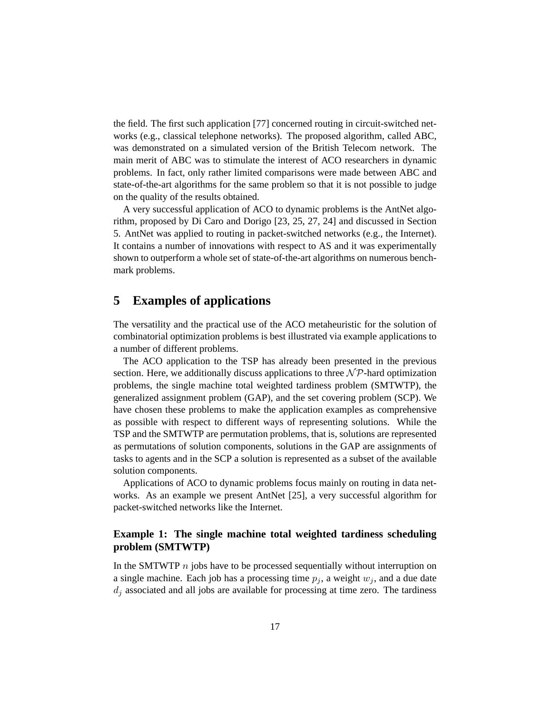the field. The first such application [77] concerned routing in circuit-switched networks (e.g., classical telephone networks). The proposed algorithm, called ABC, was demonstrated on a simulated version of the British Telecom network. The main merit of ABC was to stimulate the interest of ACO researchers in dynamic problems. In fact, only rather limited comparisons were made between ABC and state-of-the-art algorithms for the same problem so that it is not possible to judge on the quality of the results obtained.

A very successful application of ACO to dynamic problems is the AntNet algorithm, proposed by Di Caro and Dorigo [23, 25, 27, 24] and discussed in Section 5. AntNet was applied to routing in packet-switched networks (e.g., the Internet). It contains a number of innovations with respect to AS and it was experimentally shown to outperform a whole set of state-of-the-art algorithms on numerous benchmark problems.

# **5 Examples of applications**

The versatility and the practical use of the ACO metaheuristic for the solution of combinatorial optimization problems is best illustrated via example applications to a number of different problems.

The ACO application to the TSP has already been presented in the previous section. Here, we additionally discuss applications to three  $\mathcal{NP}$ -hard optimization problems, the single machine total weighted tardiness problem (SMTWTP), the generalized assignment problem (GAP), and the set covering problem (SCP). We have chosen these problems to make the application examples as comprehensive as possible with respect to different ways of representing solutions. While the TSP and the SMTWTP are permutation problems, that is, solutions are represented as permutations of solution components, solutions in the GAP are assignments of tasks to agents and in the SCP a solution is represented as a subset of the available solution components.

Applications of ACO to dynamic problems focus mainly on routing in data networks. As an example we present AntNet [25], a very successful algorithm for packet-switched networks like the Internet.

## **Example 1: The single machine total weighted tardiness scheduling problem (SMTWTP)**

In the SMTWTP  $n$  jobs have to be processed sequentially without interruption on a single machine. Each job has a processing time  $p_i$ , a weight  $w_i$ , and a due date  $d_i$  associated and all jobs are available for processing at time zero. The tardiness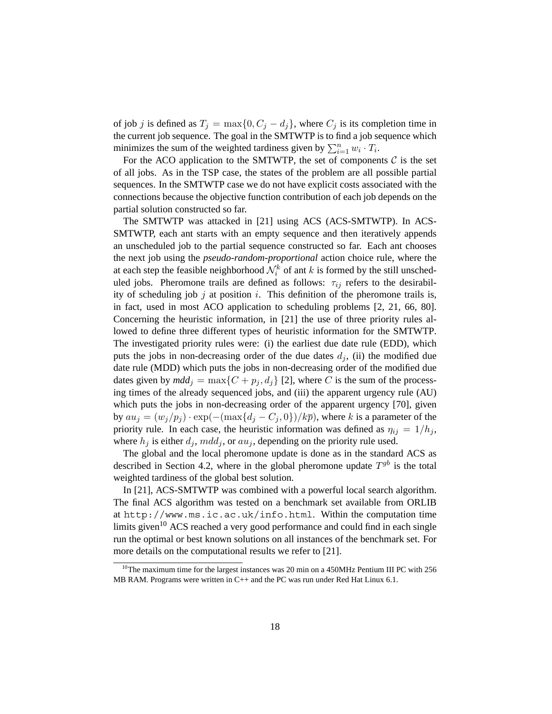of job j is defined as  $T_j = \max\{0, C_j - d_j\}$ , where  $C_j$  is its completion time in the current job sequence. The goal in the SMTWTP is to find a job sequence which minimizes the sum of the weighted tardiness given by  $\sum_{i=1}^{n} w_i \cdot T_i$ .

For the ACO application to the SMTWTP, the set of components  $C$  is the set of all jobs. As in the TSP case, the states of the problem are all possible partial sequences. In the SMTWTP case we do not have explicit costs associated with the connections because the objective function contribution of each job depends on the partial solution constructed so far.

The SMTWTP was attacked in [21] using ACS (ACS-SMTWTP). In ACS-SMTWTP, each ant starts with an empty sequence and then iteratively appends an unscheduled job to the partial sequence constructed so far. Each ant chooses the next job using the *pseudo-random-proportional* action choice rule, where the at each step the feasible neighborhood  $\mathcal{N}_i^k$  of ant k is formed by the still unscheduled jobs. Pheromone trails are defined as follows:  $\tau_{ij}$  refers to the desirability of scheduling job  $j$  at position  $i$ . This definition of the pheromone trails is, in fact, used in most ACO application to scheduling problems [2, 21, 66, 80]. Concerning the heuristic information, in [21] the use of three priority rules allowed to define three different types of heuristic information for the SMTWTP. The investigated priority rules were: (i) the earliest due date rule (EDD), which puts the jobs in non-decreasing order of the due dates  $d_i$ , (ii) the modified due date rule (MDD) which puts the jobs in non-decreasing order of the modified due dates given by  $m d_j = \max\{C + p_j, d_j\}$  [2], where C is the sum of the processing times of the already sequenced jobs, and (iii) the apparent urgency rule (AU) which puts the jobs in non-decreasing order of the apparent urgency [70], given by  $au_j = (w_j/p_j) \cdot \exp(-(max\{d_j - C_j, 0\})/k\overline{p})$ , where k is a parameter of the priority rule. In each case, the heuristic information was defined as  $\eta_{ij} = 1/h_i$ , where  $h_j$  is either  $d_j$ ,  $m d_j$ , or  $a u_j$ , depending on the priority rule used.

The global and the local pheromone update is done as in the standard ACS as described in Section 4.2, where in the global pheromone update  $T^{gb}$  is the total weighted tardiness of the global best solution.

In [21], ACS-SMTWTP was combined with a powerful local search algorithm. The final ACS algorithm was tested on a benchmark set available from ORLIB at http://www.ms.ic.ac.uk/info.html. Within the computation time limits given<sup>10</sup> ACS reached a very good performance and could find in each single run the optimal or best known solutions on all instances of the benchmark set. For more details on the computational results we refer to [21].

 $10$ <sup>10</sup>The maximum time for the largest instances was 20 min on a 450MHz Pentium III PC with 256 MB RAM. Programs were written in C++ and the PC was run under Red Hat Linux 6.1.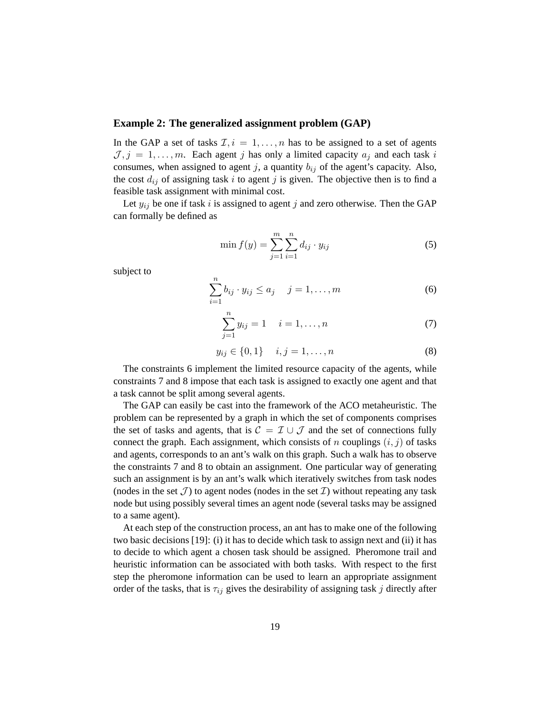#### **Example 2: The generalized assignment problem (GAP)**

In the GAP a set of tasks  $\mathcal{I}, i = 1, \ldots, n$  has to be assigned to a set of agents  $\mathcal{J}, j = 1, \ldots, m$ . Each agent j has only a limited capacity  $a_j$  and each task i consumes, when assigned to agent j, a quantity  $b_{ij}$  of the agent's capacity. Also, the cost  $d_{ij}$  of assigning task i to agent j is given. The objective then is to find a feasible task assignment with minimal cost.

Let  $y_{ij}$  be one if task i is assigned to agent j and zero otherwise. Then the GAP can formally be defined as

$$
\min f(y) = \sum_{j=1}^{m} \sum_{i=1}^{n} d_{ij} \cdot y_{ij}
$$
 (5)

subject to

$$
\sum_{i=1}^{n} b_{ij} \cdot y_{ij} \le a_j \quad j = 1, \dots, m \tag{6}
$$

$$
\sum_{j=1}^{n} y_{ij} = 1 \quad i = 1, \dots, n
$$
 (7)

$$
y_{ij} \in \{0, 1\} \quad i, j = 1, \dots, n \tag{8}
$$

The constraints 6 implement the limited resource capacity of the agents, while constraints 7 and 8 impose that each task is assigned to exactly one agent and that a task cannot be split among several agents.

The GAP can easily be cast into the framework of the ACO metaheuristic. The problem can be represented by a graph in which the set of components comprises the set of tasks and agents, that is  $C = \mathcal{I} \cup \mathcal{J}$  and the set of connections fully connect the graph. Each assignment, which consists of n couplings  $(i, j)$  of tasks and agents, corresponds to an ant's walk on this graph. Such a walk has to observe the constraints 7 and 8 to obtain an assignment. One particular way of generating such an assignment is by an ant's walk which iteratively switches from task nodes (nodes in the set  $J$ ) to agent nodes (nodes in the set  $I$ ) without repeating any task node but using possibly several times an agent node (several tasks may be assigned to a same agent).

At each step of the construction process, an ant has to make one of the following two basic decisions [19]: (i) it has to decide which task to assign next and (ii) it has to decide to which agent a chosen task should be assigned. Pheromone trail and heuristic information can be associated with both tasks. With respect to the first step the pheromone information can be used to learn an appropriate assignment order of the tasks, that is  $\tau_{ij}$  gives the desirability of assigning task j directly after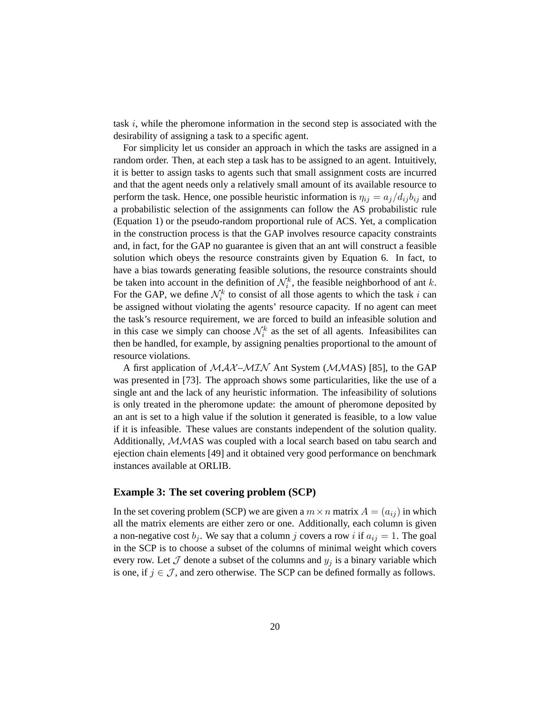task i, while the pheromone information in the second step is associated with the desirability of assigning a task to a specific agent.

For simplicity let us consider an approach in which the tasks are assigned in a random order. Then, at each step a task has to be assigned to an agent. Intuitively, it is better to assign tasks to agents such that small assignment costs are incurred and that the agent needs only a relatively small amount of its available resource to perform the task. Hence, one possible heuristic information is  $\eta_{ij} = a_j/d_{ij}b_{ij}$  and a probabilistic selection of the assignments can follow the AS probabilistic rule (Equation 1) or the pseudo-random proportional rule of ACS. Yet, a complication in the construction process is that the GAP involves resource capacity constraints and, in fact, for the GAP no guarantee is given that an ant will construct a feasible solution which obeys the resource constraints given by Equation 6. In fact, to have a bias towards generating feasible solutions, the resource constraints should be taken into account in the definition of  $\mathcal{N}_i^k$ , the feasible neighborhood of ant k. For the GAP, we define  $\mathcal{N}_i^k$  to consist of all those agents to which the task i can be assigned without violating the agents' resource capacity. If no agent can meet the task's resource requirement, we are forced to build an infeasible solution and in this case we simply can choose  $\mathcal{N}_i^k$  as the set of all agents. Infeasibilites can then be handled, for example, by assigning penalties proportional to the amount of resource violations.

A first application of  $MAX-MIN$  Ant System ( $MMAS$ ) [85], to the GAP was presented in [73]. The approach shows some particularities, like the use of a single ant and the lack of any heuristic information. The infeasibility of solutions is only treated in the pheromone update: the amount of pheromone deposited by an ant is set to a high value if the solution it generated is feasible, to a low value if it is infeasible. These values are constants independent of the solution quality. Additionally, MMAS was coupled with a local search based on tabu search and ejection chain elements [49] and it obtained very good performance on benchmark instances available at ORLIB.

#### **Example 3: The set covering problem (SCP)**

In the set covering problem (SCP) we are given a  $m \times n$  matrix  $A = (a_{ij})$  in which all the matrix elements are either zero or one. Additionally, each column is given a non-negative cost  $b_j$ . We say that a column j covers a row i if  $a_{ij} = 1$ . The goal in the SCP is to choose a subset of the columns of minimal weight which covers every row. Let  $J$  denote a subset of the columns and  $y_j$  is a binary variable which is one, if  $j \in \mathcal{J}$ , and zero otherwise. The SCP can be defined formally as follows.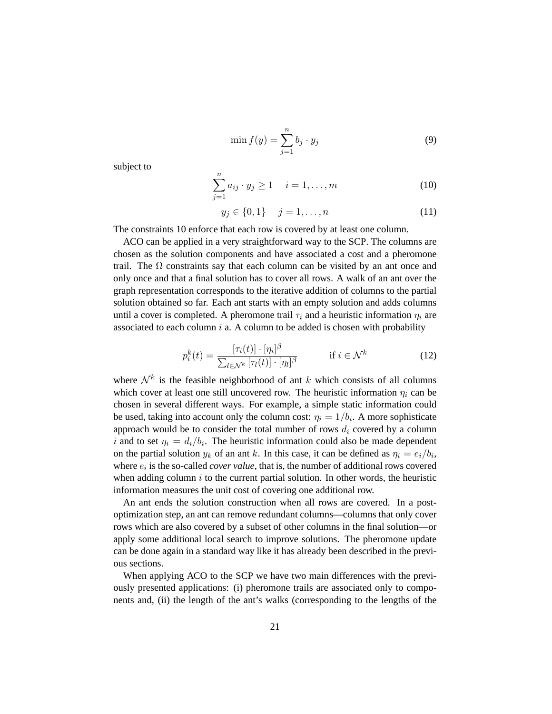$$
\min f(y) = \sum_{j=1}^{n} b_j \cdot y_j \tag{9}
$$

subject to

$$
\sum_{j=1}^{n} a_{ij} \cdot y_j \ge 1 \quad i = 1, ..., m
$$
 (10)

$$
y_j \in \{0, 1\} \quad j = 1, \dots, n \tag{11}
$$

The constraints 10 enforce that each row is covered by at least one column.

ACO can be applied in a very straightforward way to the SCP. The columns are chosen as the solution components and have associated a cost and a pheromone trail. The  $\Omega$  constraints say that each column can be visited by an ant once and only once and that a final solution has to cover all rows. A walk of an ant over the graph representation corresponds to the iterative addition of columns to the partial solution obtained so far. Each ant starts with an empty solution and adds columns until a cover is completed. A pheromone trail  $\tau_i$  and a heuristic information  $\eta_i$  are associated to each column  $i$  a. A column to be added is chosen with probability

$$
p_i^k(t) = \frac{[\tau_i(t)] \cdot [\eta_i]^\beta}{\sum_{l \in \mathcal{N}^k} [\tau_l(t)] \cdot [\eta_l]^\beta} \quad \text{if } i \in \mathcal{N}^k \tag{12}
$$

where  $\mathcal{N}^k$  is the feasible neighborhood of ant k which consists of all columns which cover at least one still uncovered row. The heuristic information  $\eta_i$  can be chosen in several different ways. For example, a simple static information could be used, taking into account only the column cost:  $\eta_i = 1/b_i$ . A more sophisticate approach would be to consider the total number of rows  $d_i$  covered by a column i and to set  $\eta_i = d_i/b_i$ . The heuristic information could also be made dependent on the partial solution  $y_k$  of an ant k. In this case, it can be defined as  $\eta_i = e_i/b_i$ , where  $e_i$  is the so-called *cover value*, that is, the number of additional rows covered when adding column  $i$  to the current partial solution. In other words, the heuristic information measures the unit cost of covering one additional row.

An ant ends the solution construction when all rows are covered. In a postoptimization step, an ant can remove redundant columns—columns that only cover rows which are also covered by a subset of other columns in the final solution—or apply some additional local search to improve solutions. The pheromone update can be done again in a standard way like it has already been described in the previous sections.

When applying ACO to the SCP we have two main differences with the previously presented applications: (i) pheromone trails are associated only to components and, (ii) the length of the ant's walks (corresponding to the lengths of the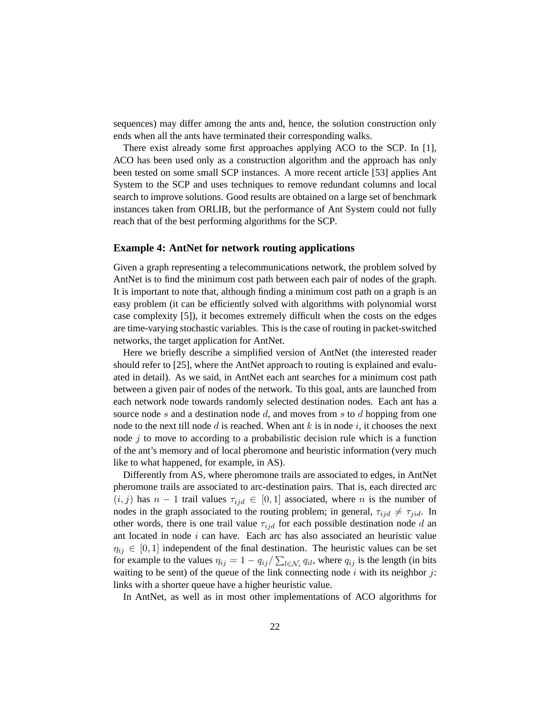sequences) may differ among the ants and, hence, the solution construction only ends when all the ants have terminated their corresponding walks.

There exist already some first approaches applying ACO to the SCP. In [1], ACO has been used only as a construction algorithm and the approach has only been tested on some small SCP instances. A more recent article [53] applies Ant System to the SCP and uses techniques to remove redundant columns and local search to improve solutions. Good results are obtained on a large set of benchmark instances taken from ORLIB, but the performance of Ant System could not fully reach that of the best performing algorithms for the SCP.

#### **Example 4: AntNet for network routing applications**

Given a graph representing a telecommunications network, the problem solved by AntNet is to find the minimum cost path between each pair of nodes of the graph. It is important to note that, although finding a minimum cost path on a graph is an easy problem (it can be efficiently solved with algorithms with polynomial worst case complexity [5]), it becomes extremely difficult when the costs on the edges are time-varying stochastic variables. This is the case of routing in packet-switched networks, the target application for AntNet.

Here we briefly describe a simplified version of AntNet (the interested reader should refer to [25], where the AntNet approach to routing is explained and evaluated in detail). As we said, in AntNet each ant searches for a minimum cost path between a given pair of nodes of the network. To this goal, ants are launched from each network node towards randomly selected destination nodes. Each ant has a source node s and a destination node d, and moves from s to d hopping from one node to the next till node  $d$  is reached. When ant  $k$  is in node  $i$ , it chooses the next node  $j$  to move to according to a probabilistic decision rule which is a function of the ant's memory and of local pheromone and heuristic information (very much like to what happened, for example, in AS).

Differently from AS, where pheromone trails are associated to edges, in AntNet pheromone trails are associated to arc-destination pairs. That is, each directed arc  $(i, j)$  has  $n - 1$  trail values  $\tau_{ijd} \in [0, 1]$  associated, where n is the number of nodes in the graph associated to the routing problem; in general,  $\tau_{ijd} \neq \tau_{jid}$ . In other words, there is one trail value  $\tau_{ijd}$  for each possible destination node d an ant located in node  $i$  can have. Each arc has also associated an heuristic value  $\eta_{ij} \in [0, 1]$  independent of the final destination. The heuristic values can be set for example to the values  $\eta_{ij} = 1 - q_{ij} / \sum_{l \in \mathcal{N}_i} q_{il}$ , where  $q_{ij}$  is the length (in bits waiting to be sent) of the queue of the link connecting node  $i$  with its neighbor  $j$ : links with a shorter queue have a higher heuristic value.

In AntNet, as well as in most other implementations of ACO algorithms for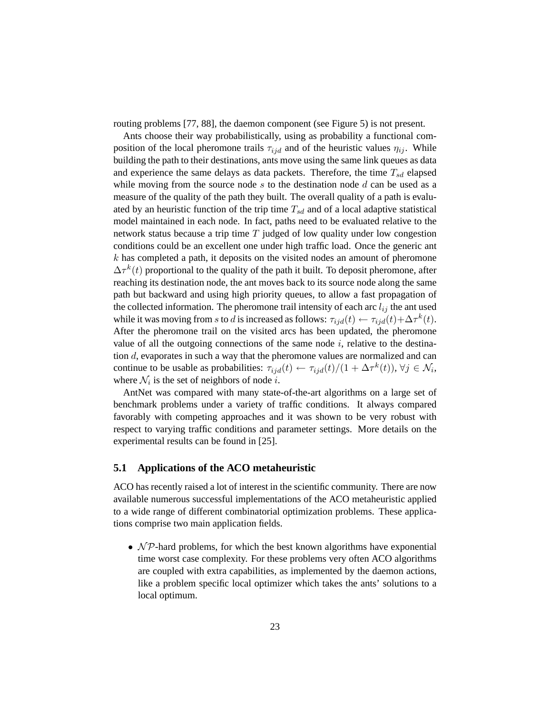routing problems [77, 88], the daemon component (see Figure 5) is not present.

Ants choose their way probabilistically, using as probability a functional composition of the local pheromone trails  $\tau_{ijd}$  and of the heuristic values  $\eta_{ij}$ . While building the path to their destinations, ants move using the same link queues as data and experience the same delays as data packets. Therefore, the time  $T_{sd}$  elapsed while moving from the source node s to the destination node  $d$  can be used as a measure of the quality of the path they built. The overall quality of a path is evaluated by an heuristic function of the trip time  $T_{sd}$  and of a local adaptive statistical model maintained in each node. In fact, paths need to be evaluated relative to the network status because a trip time  $T$  judged of low quality under low congestion conditions could be an excellent one under high traffic load. Once the generic ant  $k$  has completed a path, it deposits on the visited nodes an amount of pheromone  $\Delta \tau^{k}(t)$  proportional to the quality of the path it built. To deposit pheromone, after reaching its destination node, the ant moves back to its source node along the same path but backward and using high priority queues, to allow a fast propagation of the collected information. The pheromone trail intensity of each arc  $l_{ij}$  the ant used while it was moving from s to d is increased as follows:  $\tau_{ijd}(t) \leftarrow \tau_{ijd}(t) + \Delta \tau^k(t)$ . After the pheromone trail on the visited arcs has been updated, the pheromone value of all the outgoing connections of the same node  $i$ , relative to the destination d, evaporates in such a way that the pheromone values are normalized and can continue to be usable as probabilities:  $\tau_{iid}(t) \leftarrow \tau_{iid}(t)/(1 + \Delta \tau^k(t)), \forall j \in \mathcal{N}_i$ , where  $\mathcal{N}_i$  is the set of neighbors of node *i*.

AntNet was compared with many state-of-the-art algorithms on a large set of benchmark problems under a variety of traffic conditions. It always compared favorably with competing approaches and it was shown to be very robust with respect to varying traffic conditions and parameter settings. More details on the experimental results can be found in [25].

#### **5.1 Applications of the ACO metaheuristic**

ACO has recently raised a lot of interest in the scientific community. There are now available numerous successful implementations of the ACO metaheuristic applied to a wide range of different combinatorial optimization problems. These applications comprise two main application fields.

•  $\mathcal{NP}$ -hard problems, for which the best known algorithms have exponential time worst case complexity. For these problems very often ACO algorithms are coupled with extra capabilities, as implemented by the daemon actions, like a problem specific local optimizer which takes the ants' solutions to a local optimum.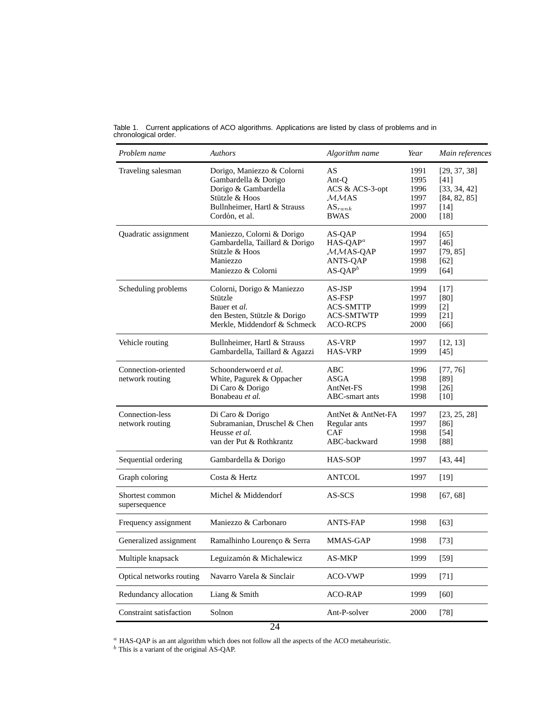| Problem name                           | <b>Authors</b>                                                                                                                                 | Algorithm name                                                        | Year                                         | Main references                                                            |
|----------------------------------------|------------------------------------------------------------------------------------------------------------------------------------------------|-----------------------------------------------------------------------|----------------------------------------------|----------------------------------------------------------------------------|
| Traveling salesman                     | Dorigo, Maniezzo & Colorni<br>Gambardella & Dorigo<br>Dorigo & Gambardella<br>Stützle & Hoos<br>Bullnheimer, Hartl & Strauss<br>Cordón, et al. | AS<br>Ant-Q<br>ACS & ACS-3-opt<br>MMS<br>$AS_{rank}$<br><b>BWAS</b>   | 1991<br>1995<br>1996<br>1997<br>1997<br>2000 | [29, 37, 38]<br>$[41]$<br>[33, 34, 42]<br>[84, 82, 85]<br>$[14]$<br>$[18]$ |
| Quadratic assignment                   | Maniezzo, Colorni & Dorigo<br>Gambardella, Taillard & Dorigo<br>Stützle & Hoos<br>Maniezzo<br>Maniezzo & Colorni                               | AS-QAP<br>$HAS-QAPa$<br>$MMS-QAP$<br><b>ANTS-QAP</b><br>$AS-QAPb$     | 1994<br>1997<br>1997<br>1998<br>1999         | [65]<br>$[46]$<br>[79, 85]<br>$[62]$<br>[64]                               |
| Scheduling problems                    | Colorni, Dorigo & Maniezzo<br>Stützle<br>Bauer et al.<br>den Besten, Stützle & Dorigo<br>Merkle, Middendorf & Schmeck                          | AS-JSP<br>AS-FSP<br><b>ACS-SMTTP</b><br><b>ACS-SMTWTP</b><br>ACO-RCPS | 1994<br>1997<br>1999<br>1999<br>2000         | $[17]$<br>[80]<br>$[2]$<br>$[21]$<br>[66]                                  |
| Vehicle routing                        | Bullnheimer, Hartl & Strauss<br>Gambardella, Taillard & Agazzi                                                                                 | <b>AS-VRP</b><br><b>HAS-VRP</b>                                       | 1997<br>1999                                 | [12, 13]<br>$[45]$                                                         |
| Connection-oriented<br>network routing | Schoonderwoerd et al.<br>White, Pagurek & Oppacher<br>Di Caro & Dorigo<br>Bonabeau et al.                                                      | ABC<br><b>ASGA</b><br>AntNet-FS<br>ABC-smart ants                     | 1996<br>1998<br>1998<br>1998                 | [77, 76]<br>$[89]$<br>[26]<br>$[10]$                                       |
| Connection-less<br>network routing     | Di Caro & Dorigo<br>Subramanian, Druschel & Chen<br>Heusse et al.<br>van der Put & Rothkrantz                                                  | AntNet & AntNet-FA<br>Regular ants<br><b>CAF</b><br>ABC-backward      | 1997<br>1997<br>1998<br>1998                 | [23, 25, 28]<br>$[86]$<br>$[54]$<br>[88]                                   |
| Sequential ordering                    | Gambardella & Dorigo                                                                                                                           | HAS-SOP                                                               | 1997                                         | [43, 44]                                                                   |
| Graph coloring                         | Costa & Hertz                                                                                                                                  | <b>ANTCOL</b>                                                         | 1997                                         | $[19]$                                                                     |
| Shortest common<br>supersequence       | Michel & Middendorf                                                                                                                            | AS-SCS                                                                | 1998                                         | [67, 68]                                                                   |
| Frequency assignment                   | Maniezzo & Carbonaro                                                                                                                           | <b>ANTS-FAP</b>                                                       | 1998                                         | [63]                                                                       |
| Generalized assignment                 | Ramalhinho Lourenço & Serra                                                                                                                    | MMAS-GAP                                                              | 1998                                         | $[73]$                                                                     |
| Multiple knapsack                      | Leguizamón & Michalewicz                                                                                                                       | AS-MKP                                                                | 1999                                         | $[59]$                                                                     |
| Optical networks routing               | Navarro Varela & Sinclair                                                                                                                      | <b>ACO-VWP</b>                                                        | 1999                                         | $[71]$                                                                     |
| Redundancy allocation                  | Liang & Smith                                                                                                                                  | <b>ACO-RAP</b>                                                        | 1999                                         | $[60]$                                                                     |
| Constraint satisfaction                | Solnon                                                                                                                                         | Ant-P-solver                                                          | 2000                                         | $[78]$                                                                     |
|                                        | 24                                                                                                                                             |                                                                       |                                              |                                                                            |

Table 1. Current applications of ACO algorithms. Applications are listed by class of problems and in chronological order.

*<sup>a</sup>* HAS-QAP is an ant algorithm which does not follow all the aspects of the ACO metaheuristic.

*<sup>b</sup>* This is a variant of the original AS-QAP.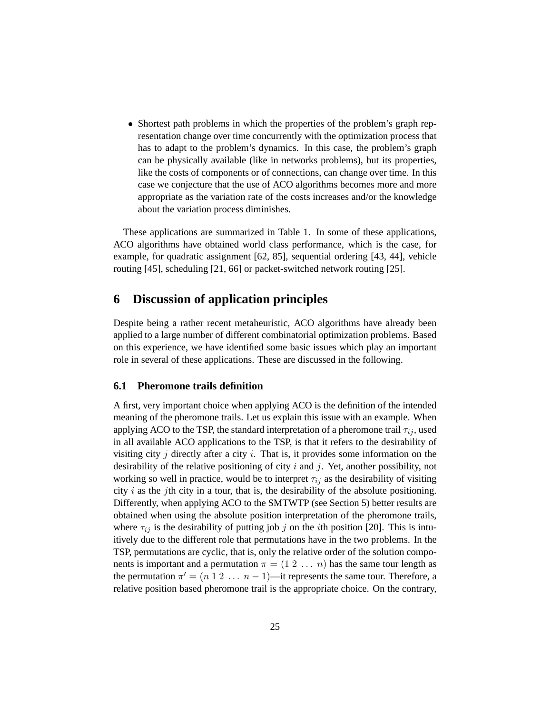• Shortest path problems in which the properties of the problem's graph representation change over time concurrently with the optimization process that has to adapt to the problem's dynamics. In this case, the problem's graph can be physically available (like in networks problems), but its properties, like the costs of components or of connections, can change over time. In this case we conjecture that the use of ACO algorithms becomes more and more appropriate as the variation rate of the costs increases and/or the knowledge about the variation process diminishes.

These applications are summarized in Table 1. In some of these applications, ACO algorithms have obtained world class performance, which is the case, for example, for quadratic assignment [62, 85], sequential ordering [43, 44], vehicle routing [45], scheduling [21, 66] or packet-switched network routing [25].

# **6 Discussion of application principles**

Despite being a rather recent metaheuristic, ACO algorithms have already been applied to a large number of different combinatorial optimization problems. Based on this experience, we have identified some basic issues which play an important role in several of these applications. These are discussed in the following.

### **6.1 Pheromone trails definition**

A first, very important choice when applying ACO is the definition of the intended meaning of the pheromone trails. Let us explain this issue with an example. When applying ACO to the TSP, the standard interpretation of a pheromone trail  $\tau_{ij}$ , used in all available ACO applications to the TSP, is that it refers to the desirability of visiting city j directly after a city i. That is, it provides some information on the desirability of the relative positioning of city  $i$  and  $j$ . Yet, another possibility, not working so well in practice, would be to interpret  $\tau_{ij}$  as the desirability of visiting city  $i$  as the jth city in a tour, that is, the desirability of the absolute positioning. Differently, when applying ACO to the SMTWTP (see Section 5) better results are obtained when using the absolute position interpretation of the pheromone trails, where  $\tau_{ij}$  is the desirability of putting job j on the *i*th position [20]. This is intuitively due to the different role that permutations have in the two problems. In the TSP, permutations are cyclic, that is, only the relative order of the solution components is important and a permutation  $\pi = (1 \ 2 \ \dots \ n)$  has the same tour length as the permutation  $\pi' = (n \ 1 \ 2 \ \ldots \ n-1)$ —it represents the same tour. Therefore, a relative position based pheromone trail is the appropriate choice. On the contrary,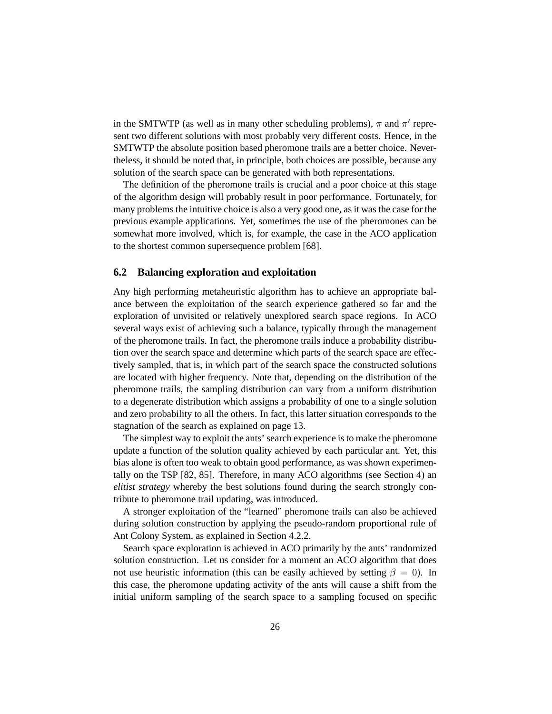in the SMTWTP (as well as in many other scheduling problems),  $\pi$  and  $\pi'$  represent two different solutions with most probably very different costs. Hence, in the SMTWTP the absolute position based pheromone trails are a better choice. Nevertheless, it should be noted that, in principle, both choices are possible, because any solution of the search space can be generated with both representations.

The definition of the pheromone trails is crucial and a poor choice at this stage of the algorithm design will probably result in poor performance. Fortunately, for many problems the intuitive choice is also a very good one, as it was the case for the previous example applications. Yet, sometimes the use of the pheromones can be somewhat more involved, which is, for example, the case in the ACO application to the shortest common supersequence problem [68].

### **6.2 Balancing exploration and exploitation**

Any high performing metaheuristic algorithm has to achieve an appropriate balance between the exploitation of the search experience gathered so far and the exploration of unvisited or relatively unexplored search space regions. In ACO several ways exist of achieving such a balance, typically through the management of the pheromone trails. In fact, the pheromone trails induce a probability distribution over the search space and determine which parts of the search space are effectively sampled, that is, in which part of the search space the constructed solutions are located with higher frequency. Note that, depending on the distribution of the pheromone trails, the sampling distribution can vary from a uniform distribution to a degenerate distribution which assigns a probability of one to a single solution and zero probability to all the others. In fact, this latter situation corresponds to the stagnation of the search as explained on page 13.

The simplest way to exploit the ants' search experience is to make the pheromone update a function of the solution quality achieved by each particular ant. Yet, this bias alone is often too weak to obtain good performance, as was shown experimentally on the TSP [82, 85]. Therefore, in many ACO algorithms (see Section 4) an *elitist strategy* whereby the best solutions found during the search strongly contribute to pheromone trail updating, was introduced.

A stronger exploitation of the "learned" pheromone trails can also be achieved during solution construction by applying the pseudo-random proportional rule of Ant Colony System, as explained in Section 4.2.2.

Search space exploration is achieved in ACO primarily by the ants' randomized solution construction. Let us consider for a moment an ACO algorithm that does not use heuristic information (this can be easily achieved by setting  $\beta = 0$ ). In this case, the pheromone updating activity of the ants will cause a shift from the initial uniform sampling of the search space to a sampling focused on specific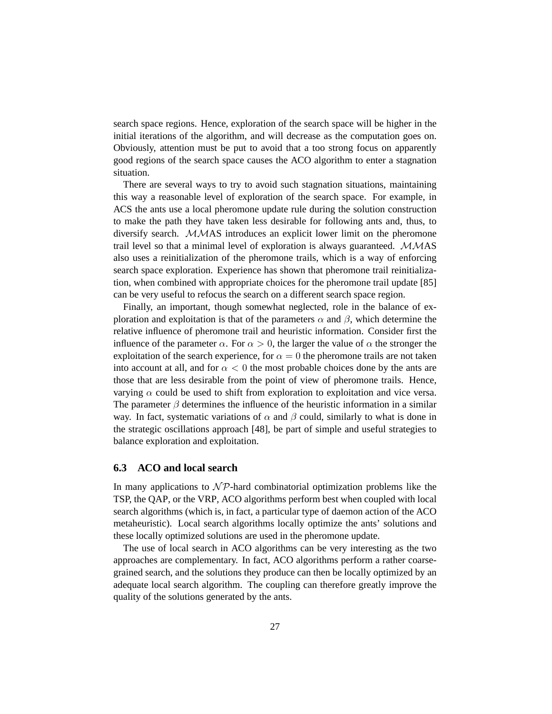search space regions. Hence, exploration of the search space will be higher in the initial iterations of the algorithm, and will decrease as the computation goes on. Obviously, attention must be put to avoid that a too strong focus on apparently good regions of the search space causes the ACO algorithm to enter a stagnation situation.

There are several ways to try to avoid such stagnation situations, maintaining this way a reasonable level of exploration of the search space. For example, in ACS the ants use a local pheromone update rule during the solution construction to make the path they have taken less desirable for following ants and, thus, to diversify search. MMAS introduces an explicit lower limit on the pheromone trail level so that a minimal level of exploration is always guaranteed. MMAS also uses a reinitialization of the pheromone trails, which is a way of enforcing search space exploration. Experience has shown that pheromone trail reinitialization, when combined with appropriate choices for the pheromone trail update [85] can be very useful to refocus the search on a different search space region.

Finally, an important, though somewhat neglected, role in the balance of exploration and exploitation is that of the parameters  $\alpha$  and  $\beta$ , which determine the relative influence of pheromone trail and heuristic information. Consider first the influence of the parameter  $\alpha$ . For  $\alpha > 0$ , the larger the value of  $\alpha$  the stronger the exploitation of the search experience, for  $\alpha = 0$  the pheromone trails are not taken into account at all, and for  $\alpha < 0$  the most probable choices done by the ants are those that are less desirable from the point of view of pheromone trails. Hence, varying  $\alpha$  could be used to shift from exploration to exploitation and vice versa. The parameter  $\beta$  determines the influence of the heuristic information in a similar way. In fact, systematic variations of  $\alpha$  and  $\beta$  could, similarly to what is done in the strategic oscillations approach [48], be part of simple and useful strategies to balance exploration and exploitation.

#### **6.3 ACO and local search**

In many applications to  $\mathcal{NP}$ -hard combinatorial optimization problems like the TSP, the QAP, or the VRP, ACO algorithms perform best when coupled with local search algorithms (which is, in fact, a particular type of daemon action of the ACO metaheuristic). Local search algorithms locally optimize the ants' solutions and these locally optimized solutions are used in the pheromone update.

The use of local search in ACO algorithms can be very interesting as the two approaches are complementary. In fact, ACO algorithms perform a rather coarsegrained search, and the solutions they produce can then be locally optimized by an adequate local search algorithm. The coupling can therefore greatly improve the quality of the solutions generated by the ants.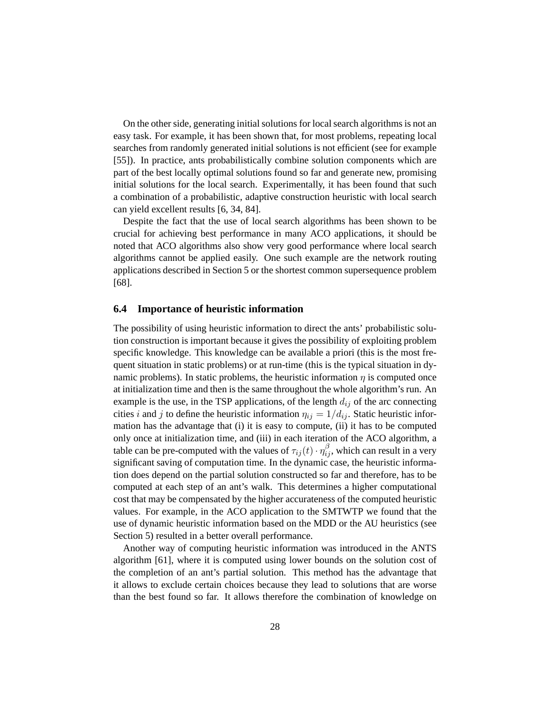On the other side, generating initial solutions for local search algorithms is not an easy task. For example, it has been shown that, for most problems, repeating local searches from randomly generated initial solutions is not efficient (see for example [55]). In practice, ants probabilistically combine solution components which are part of the best locally optimal solutions found so far and generate new, promising initial solutions for the local search. Experimentally, it has been found that such a combination of a probabilistic, adaptive construction heuristic with local search can yield excellent results [6, 34, 84].

Despite the fact that the use of local search algorithms has been shown to be crucial for achieving best performance in many ACO applications, it should be noted that ACO algorithms also show very good performance where local search algorithms cannot be applied easily. One such example are the network routing applications described in Section 5 or the shortest common supersequence problem [68].

#### **6.4 Importance of heuristic information**

The possibility of using heuristic information to direct the ants' probabilistic solution construction is important because it gives the possibility of exploiting problem specific knowledge. This knowledge can be available a priori (this is the most frequent situation in static problems) or at run-time (this is the typical situation in dynamic problems). In static problems, the heuristic information  $\eta$  is computed once at initialization time and then is the same throughout the whole algorithm's run. An example is the use, in the TSP applications, of the length  $d_{ij}$  of the arc connecting cities i and j to define the heuristic information  $\eta_{ij} = 1/d_{ij}$ . Static heuristic information has the advantage that (i) it is easy to compute, (ii) it has to be computed only once at initialization time, and (iii) in each iteration of the ACO algorithm, a table can be pre-computed with the values of  $\tau_{ij}(t) \cdot \eta_{ij}^{\beta}$ , which can result in a very significant saving of computation time. In the dynamic case, the heuristic information does depend on the partial solution constructed so far and therefore, has to be computed at each step of an ant's walk. This determines a higher computational cost that may be compensated by the higher accurateness of the computed heuristic values. For example, in the ACO application to the SMTWTP we found that the use of dynamic heuristic information based on the MDD or the AU heuristics (see Section 5) resulted in a better overall performance.

Another way of computing heuristic information was introduced in the ANTS algorithm [61], where it is computed using lower bounds on the solution cost of the completion of an ant's partial solution. This method has the advantage that it allows to exclude certain choices because they lead to solutions that are worse than the best found so far. It allows therefore the combination of knowledge on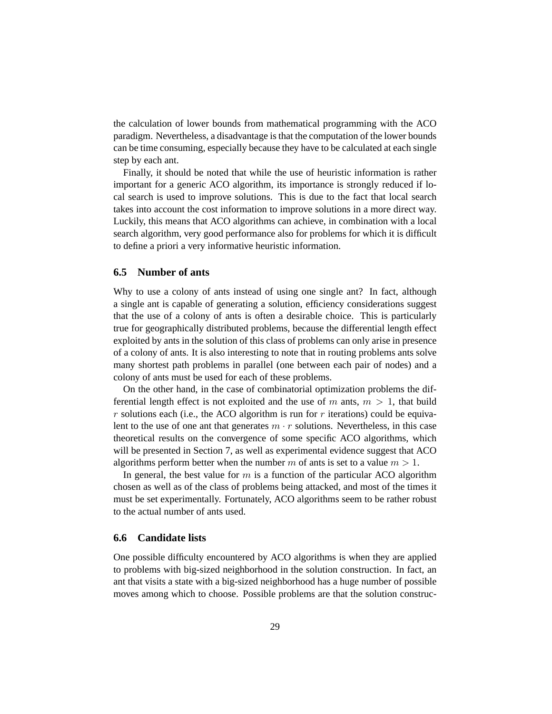the calculation of lower bounds from mathematical programming with the ACO paradigm. Nevertheless, a disadvantage is that the computation of the lower bounds can be time consuming, especially because they have to be calculated at each single step by each ant.

Finally, it should be noted that while the use of heuristic information is rather important for a generic ACO algorithm, its importance is strongly reduced if local search is used to improve solutions. This is due to the fact that local search takes into account the cost information to improve solutions in a more direct way. Luckily, this means that ACO algorithms can achieve, in combination with a local search algorithm, very good performance also for problems for which it is difficult to define a priori a very informative heuristic information.

#### **6.5 Number of ants**

Why to use a colony of ants instead of using one single ant? In fact, although a single ant is capable of generating a solution, efficiency considerations suggest that the use of a colony of ants is often a desirable choice. This is particularly true for geographically distributed problems, because the differential length effect exploited by ants in the solution of this class of problems can only arise in presence of a colony of ants. It is also interesting to note that in routing problems ants solve many shortest path problems in parallel (one between each pair of nodes) and a colony of ants must be used for each of these problems.

On the other hand, in the case of combinatorial optimization problems the differential length effect is not exploited and the use of m ants,  $m > 1$ , that build  $r$  solutions each (i.e., the ACO algorithm is run for  $r$  iterations) could be equivalent to the use of one ant that generates  $m \cdot r$  solutions. Nevertheless, in this case theoretical results on the convergence of some specific ACO algorithms, which will be presented in Section 7, as well as experimental evidence suggest that ACO algorithms perform better when the number m of ants is set to a value  $m > 1$ .

In general, the best value for  $m$  is a function of the particular ACO algorithm chosen as well as of the class of problems being attacked, and most of the times it must be set experimentally. Fortunately, ACO algorithms seem to be rather robust to the actual number of ants used.

#### **6.6 Candidate lists**

One possible difficulty encountered by ACO algorithms is when they are applied to problems with big-sized neighborhood in the solution construction. In fact, an ant that visits a state with a big-sized neighborhood has a huge number of possible moves among which to choose. Possible problems are that the solution construc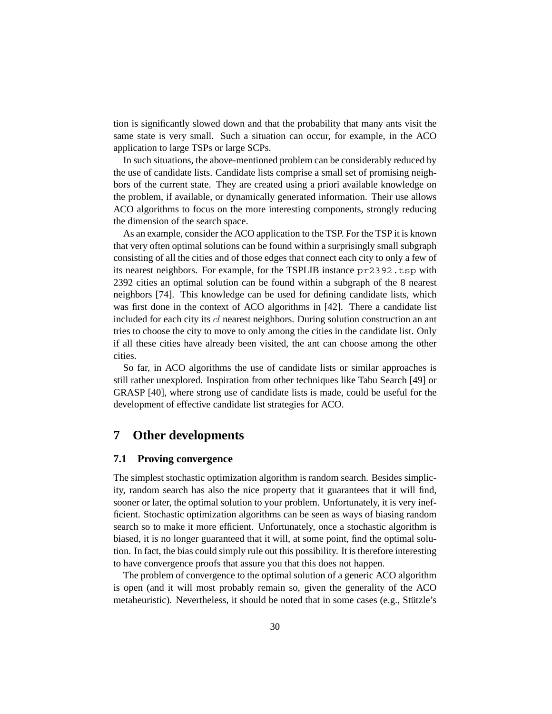tion is significantly slowed down and that the probability that many ants visit the same state is very small. Such a situation can occur, for example, in the ACO application to large TSPs or large SCPs.

In such situations, the above-mentioned problem can be considerably reduced by the use of candidate lists. Candidate lists comprise a small set of promising neighbors of the current state. They are created using a priori available knowledge on the problem, if available, or dynamically generated information. Their use allows ACO algorithms to focus on the more interesting components, strongly reducing the dimension of the search space.

As an example, consider the ACO application to the TSP. For the TSP it is known that very often optimal solutions can be found within a surprisingly small subgraph consisting of all the cities and of those edges that connect each city to only a few of its nearest neighbors. For example, for the TSPLIB instance pr2392.tsp with 2392 cities an optimal solution can be found within a subgraph of the 8 nearest neighbors [74]. This knowledge can be used for defining candidate lists, which was first done in the context of ACO algorithms in [42]. There a candidate list included for each city its *cl* nearest neighbors. During solution construction an ant tries to choose the city to move to only among the cities in the candidate list. Only if all these cities have already been visited, the ant can choose among the other cities.

So far, in ACO algorithms the use of candidate lists or similar approaches is still rather unexplored. Inspiration from other techniques like Tabu Search [49] or GRASP [40], where strong use of candidate lists is made, could be useful for the development of effective candidate list strategies for ACO.

# **7 Other developments**

#### **7.1 Proving convergence**

The simplest stochastic optimization algorithm is random search. Besides simplicity, random search has also the nice property that it guarantees that it will find, sooner or later, the optimal solution to your problem. Unfortunately, it is very inefficient. Stochastic optimization algorithms can be seen as ways of biasing random search so to make it more efficient. Unfortunately, once a stochastic algorithm is biased, it is no longer guaranteed that it will, at some point, find the optimal solution. In fact, the bias could simply rule out this possibility. It is therefore interesting to have convergence proofs that assure you that this does not happen.

The problem of convergence to the optimal solution of a generic ACO algorithm is open (and it will most probably remain so, given the generality of the ACO metaheuristic). Nevertheless, it should be noted that in some cases (e.g., Stützle's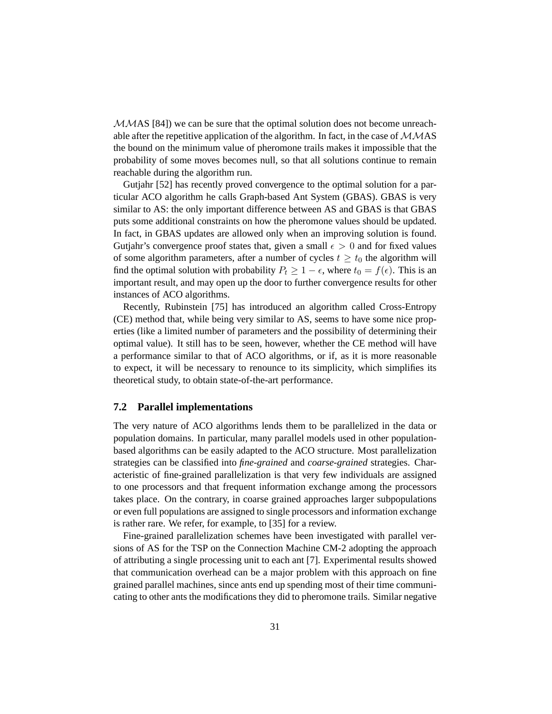$MMS$  [84]) we can be sure that the optimal solution does not become unreachable after the repetitive application of the algorithm. In fact, in the case of  $MMS$ the bound on the minimum value of pheromone trails makes it impossible that the probability of some moves becomes null, so that all solutions continue to remain reachable during the algorithm run.

Gutjahr [52] has recently proved convergence to the optimal solution for a particular ACO algorithm he calls Graph-based Ant System (GBAS). GBAS is very similar to AS: the only important difference between AS and GBAS is that GBAS puts some additional constraints on how the pheromone values should be updated. In fact, in GBAS updates are allowed only when an improving solution is found. Gutjahr's convergence proof states that, given a small  $\epsilon > 0$  and for fixed values of some algorithm parameters, after a number of cycles  $t \geq t_0$  the algorithm will find the optimal solution with probability  $P_t \geq 1 - \epsilon$ , where  $t_0 = f(\epsilon)$ . This is an important result, and may open up the door to further convergence results for other instances of ACO algorithms.

Recently, Rubinstein [75] has introduced an algorithm called Cross-Entropy (CE) method that, while being very similar to AS, seems to have some nice properties (like a limited number of parameters and the possibility of determining their optimal value). It still has to be seen, however, whether the CE method will have a performance similar to that of ACO algorithms, or if, as it is more reasonable to expect, it will be necessary to renounce to its simplicity, which simplifies its theoretical study, to obtain state-of-the-art performance.

#### **7.2 Parallel implementations**

The very nature of ACO algorithms lends them to be parallelized in the data or population domains. In particular, many parallel models used in other populationbased algorithms can be easily adapted to the ACO structure. Most parallelization strategies can be classified into *fine-grained* and *coarse-grained* strategies. Characteristic of fine-grained parallelization is that very few individuals are assigned to one processors and that frequent information exchange among the processors takes place. On the contrary, in coarse grained approaches larger subpopulations or even full populations are assigned to single processors and information exchange is rather rare. We refer, for example, to [35] for a review.

Fine-grained parallelization schemes have been investigated with parallel versions of AS for the TSP on the Connection Machine CM-2 adopting the approach of attributing a single processing unit to each ant [7]. Experimental results showed that communication overhead can be a major problem with this approach on fine grained parallel machines, since ants end up spending most of their time communicating to other ants the modifications they did to pheromone trails. Similar negative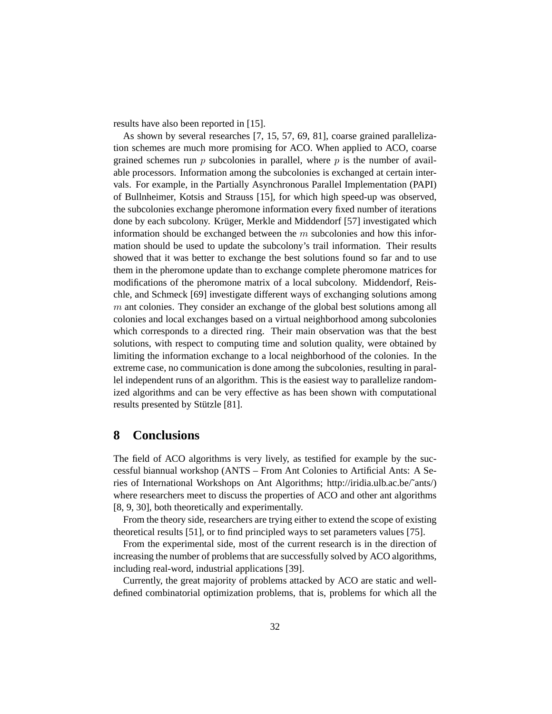results have also been reported in [15].

As shown by several researches [7, 15, 57, 69, 81], coarse grained parallelization schemes are much more promising for ACO. When applied to ACO, coarse grained schemes run  $p$  subcolonies in parallel, where  $p$  is the number of available processors. Information among the subcolonies is exchanged at certain intervals. For example, in the Partially Asynchronous Parallel Implementation (PAPI) of Bullnheimer, Kotsis and Strauss [15], for which high speed-up was observed, the subcolonies exchange pheromone information every fixed number of iterations done by each subcolony. Krüger, Merkle and Middendorf [57] investigated which information should be exchanged between the  $m$  subcolonies and how this information should be used to update the subcolony's trail information. Their results showed that it was better to exchange the best solutions found so far and to use them in the pheromone update than to exchange complete pheromone matrices for modifications of the pheromone matrix of a local subcolony. Middendorf, Reischle, and Schmeck [69] investigate different ways of exchanging solutions among  $m$  ant colonies. They consider an exchange of the global best solutions among all colonies and local exchanges based on a virtual neighborhood among subcolonies which corresponds to a directed ring. Their main observation was that the best solutions, with respect to computing time and solution quality, were obtained by limiting the information exchange to a local neighborhood of the colonies. In the extreme case, no communication is done among the subcolonies, resulting in parallel independent runs of an algorithm. This is the easiest way to parallelize randomized algorithms and can be very effective as has been shown with computational results presented by Stützle [81].

# **8 Conclusions**

The field of ACO algorithms is very lively, as testified for example by the successful biannual workshop (ANTS – From Ant Colonies to Artificial Ants: A Series of International Workshops on Ant Algorithms; http://iridia.ulb.ac.be/˜ants/) where researchers meet to discuss the properties of ACO and other ant algorithms [8, 9, 30], both theoretically and experimentally.

From the theory side, researchers are trying either to extend the scope of existing theoretical results [51], or to find principled ways to set parameters values [75].

From the experimental side, most of the current research is in the direction of increasing the number of problems that are successfully solved by ACO algorithms, including real-word, industrial applications [39].

Currently, the great majority of problems attacked by ACO are static and welldefined combinatorial optimization problems, that is, problems for which all the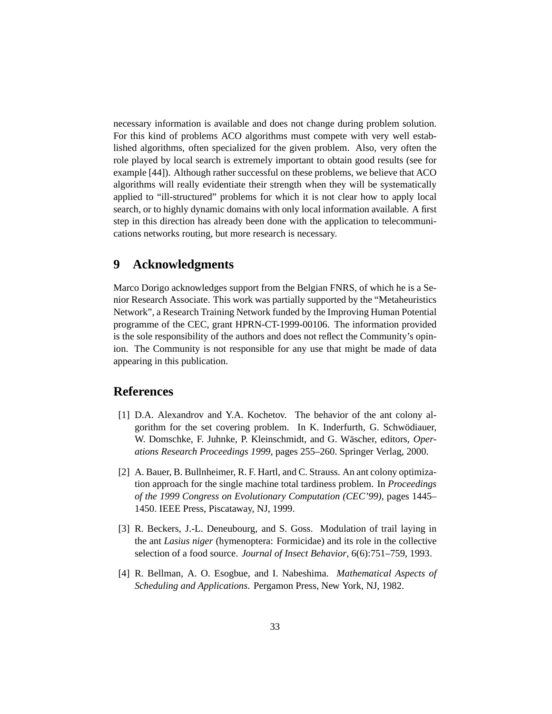necessary information is available and does not change during problem solution. For this kind of problems ACO algorithms must compete with very well established algorithms, often specialized for the given problem. Also, very often the role played by local search is extremely important to obtain good results (see for example [44]). Although rather successful on these problems, we believe that ACO algorithms will really evidentiate their strength when they will be systematically applied to "ill-structured" problems for which it is not clear how to apply local search, or to highly dynamic domains with only local information available. A first step in this direction has already been done with the application to telecommunications networks routing, but more research is necessary.

# **9 Acknowledgments**

Marco Dorigo acknowledges support from the Belgian FNRS, of which he is a Senior Research Associate. This work was partially supported by the "Metaheuristics Network", a Research Training Network funded by the Improving Human Potential programme of the CEC, grant HPRN-CT-1999-00106. The information provided is the sole responsibility of the authors and does not reflect the Community's opinion. The Community is not responsible for any use that might be made of data appearing in this publication.

# **References**

- [1] D.A. Alexandrov and Y.A. Kochetov. The behavior of the ant colony algorithm for the set covering problem. In K. Inderfurth, G. Schwödiauer, W. Domschke, F. Juhnke, P. Kleinschmidt, and G. Wäscher, editors, *Operations Research Proceedings 1999*, pages 255–260. Springer Verlag, 2000.
- [2] A. Bauer, B. Bullnheimer, R. F. Hartl, and C. Strauss. An ant colony optimization approach for the single machine total tardiness problem. In *Proceedings of the 1999 Congress on Evolutionary Computation (CEC'99)*, pages 1445– 1450. IEEE Press, Piscataway, NJ, 1999.
- [3] R. Beckers, J.-L. Deneubourg, and S. Goss. Modulation of trail laying in the ant *Lasius niger* (hymenoptera: Formicidae) and its role in the collective selection of a food source. *Journal of Insect Behavior*, 6(6):751–759, 1993.
- [4] R. Bellman, A. O. Esogbue, and I. Nabeshima. *Mathematical Aspects of Scheduling and Applications*. Pergamon Press, New York, NJ, 1982.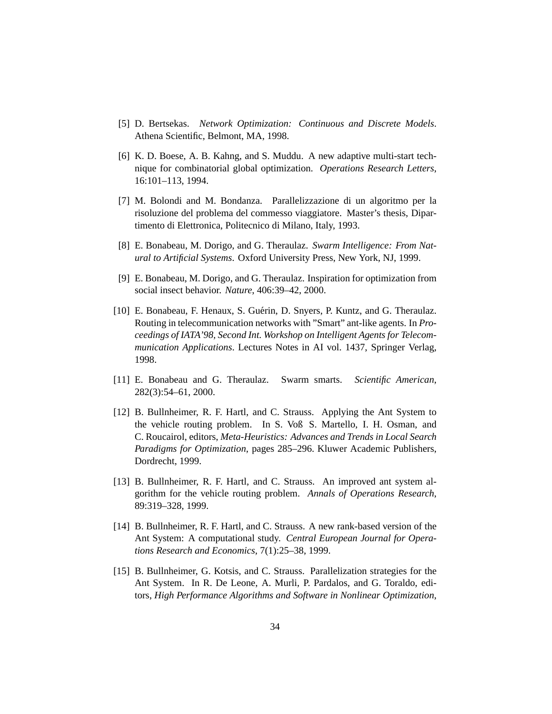- [5] D. Bertsekas. *Network Optimization: Continuous and Discrete Models*. Athena Scientific, Belmont, MA, 1998.
- [6] K. D. Boese, A. B. Kahng, and S. Muddu. A new adaptive multi-start technique for combinatorial global optimization. *Operations Research Letters*, 16:101–113, 1994.
- [7] M. Bolondi and M. Bondanza. Parallelizzazione di un algoritmo per la risoluzione del problema del commesso viaggiatore. Master's thesis, Dipartimento di Elettronica, Politecnico di Milano, Italy, 1993.
- [8] E. Bonabeau, M. Dorigo, and G. Theraulaz. *Swarm Intelligence: From Natural to Artificial Systems*. Oxford University Press, New York, NJ, 1999.
- [9] E. Bonabeau, M. Dorigo, and G. Theraulaz. Inspiration for optimization from social insect behavior. *Nature*, 406:39–42, 2000.
- [10] E. Bonabeau, F. Henaux, S. Guérin, D. Snyers, P. Kuntz, and G. Theraulaz. Routing in telecommunication networks with "Smart" ant-like agents. In *Proceedings of IATA'98, Second Int. Workshop on Intelligent Agents for Telecommunication Applications*. Lectures Notes in AI vol. 1437, Springer Verlag, 1998.
- [11] E. Bonabeau and G. Theraulaz. Swarm smarts. *Scientific American*, 282(3):54–61, 2000.
- [12] B. Bullnheimer, R. F. Hartl, and C. Strauss. Applying the Ant System to the vehicle routing problem. In S. Voß S. Martello, I. H. Osman, and C. Roucairol, editors, *Meta-Heuristics: Advances and Trends in Local Search Paradigms for Optimization*, pages 285–296. Kluwer Academic Publishers, Dordrecht, 1999.
- [13] B. Bullnheimer, R. F. Hartl, and C. Strauss. An improved ant system algorithm for the vehicle routing problem. *Annals of Operations Research*, 89:319–328, 1999.
- [14] B. Bullnheimer, R. F. Hartl, and C. Strauss. A new rank-based version of the Ant System: A computational study. *Central European Journal for Operations Research and Economics*, 7(1):25–38, 1999.
- [15] B. Bullnheimer, G. Kotsis, and C. Strauss. Parallelization strategies for the Ant System. In R. De Leone, A. Murli, P. Pardalos, and G. Toraldo, editors, *High Performance Algorithms and Software in Nonlinear Optimization*,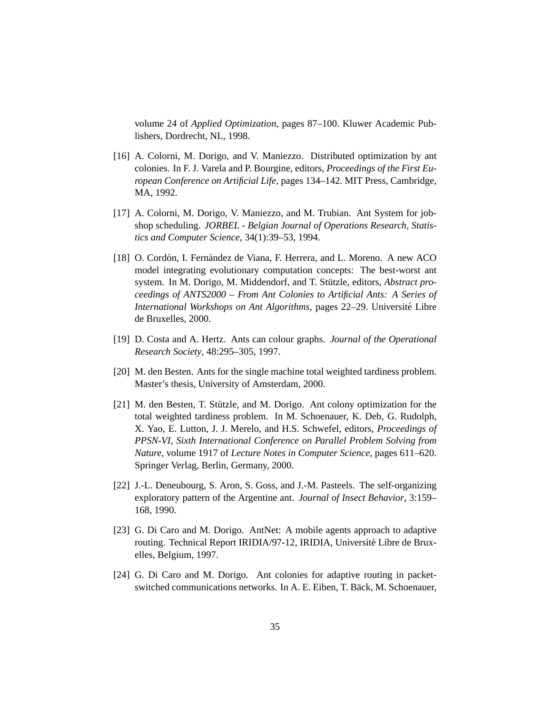volume 24 of *Applied Optimization*, pages 87–100. Kluwer Academic Publishers, Dordrecht, NL, 1998.

- [16] A. Colorni, M. Dorigo, and V. Maniezzo. Distributed optimization by ant colonies. In F. J. Varela and P. Bourgine, editors, *Proceedings of the First European Conference on Artificial Life*, pages 134–142. MIT Press, Cambridge, MA, 1992.
- [17] A. Colorni, M. Dorigo, V. Maniezzo, and M. Trubian. Ant System for jobshop scheduling. *JORBEL - Belgian Journal of Operations Research, Statistics and Computer Science*, 34(1):39–53, 1994.
- [18] O. Cordón, I. Fernández de Viana, F. Herrera, and L. Moreno. A new ACO model integrating evolutionary computation concepts: The best-worst ant system. In M. Dorigo, M. Middendorf, and T. Stützle, editors, *Abstract proceedings of ANTS2000 – From Ant Colonies to Artificial Ants: A Series of International Workshops on Ant Algorithms*, pages 22–29. Université Libre de Bruxelles, 2000.
- [19] D. Costa and A. Hertz. Ants can colour graphs. *Journal of the Operational Research Society*, 48:295–305, 1997.
- [20] M. den Besten. Ants for the single machine total weighted tardiness problem. Master's thesis, University of Amsterdam, 2000.
- [21] M. den Besten, T. Stützle, and M. Dorigo. Ant colony optimization for the total weighted tardiness problem. In M. Schoenauer, K. Deb, G. Rudolph, X. Yao, E. Lutton, J. J. Merelo, and H.S. Schwefel, editors, *Proceedings of PPSN-VI, Sixth International Conference on Parallel Problem Solving from Nature*, volume 1917 of *Lecture Notes in Computer Science*, pages 611–620. Springer Verlag, Berlin, Germany, 2000.
- [22] J.-L. Deneubourg, S. Aron, S. Goss, and J.-M. Pasteels. The self-organizing exploratory pattern of the Argentine ant. *Journal of Insect Behavior*, 3:159– 168, 1990.
- [23] G. Di Caro and M. Dorigo. AntNet: A mobile agents approach to adaptive routing. Technical Report IRIDIA/97-12, IRIDIA, Université Libre de Bruxelles, Belgium, 1997.
- [24] G. Di Caro and M. Dorigo. Ant colonies for adaptive routing in packetswitched communications networks. In A. E. Eiben, T. Bäck, M. Schoenauer,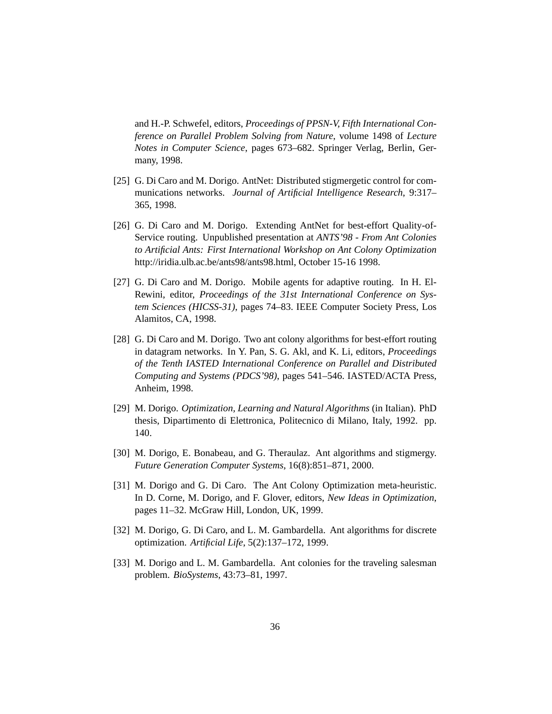and H.-P. Schwefel, editors, *Proceedings of PPSN-V, Fifth International Conference on Parallel Problem Solving from Nature*, volume 1498 of *Lecture Notes in Computer Science*, pages 673–682. Springer Verlag, Berlin, Germany, 1998.

- [25] G. Di Caro and M. Dorigo. AntNet: Distributed stigmergetic control for communications networks. *Journal of Artificial Intelligence Research*, 9:317– 365, 1998.
- [26] G. Di Caro and M. Dorigo. Extending AntNet for best-effort Quality-of-Service routing. Unpublished presentation at *ANTS'98 - From Ant Colonies to Artificial Ants: First International Workshop on Ant Colony Optimization* http://iridia.ulb.ac.be/ants98/ants98.html, October 15-16 1998.
- [27] G. Di Caro and M. Dorigo. Mobile agents for adaptive routing. In H. El-Rewini, editor, *Proceedings of the 31st International Conference on System Sciences (HICSS-31)*, pages 74–83. IEEE Computer Society Press, Los Alamitos, CA, 1998.
- [28] G. Di Caro and M. Dorigo. Two ant colony algorithms for best-effort routing in datagram networks. In Y. Pan, S. G. Akl, and K. Li, editors, *Proceedings of the Tenth IASTED International Conference on Parallel and Distributed Computing and Systems (PDCS'98)*, pages 541–546. IASTED/ACTA Press, Anheim, 1998.
- [29] M. Dorigo. *Optimization, Learning and Natural Algorithms* (in Italian). PhD thesis, Dipartimento di Elettronica, Politecnico di Milano, Italy, 1992. pp. 140.
- [30] M. Dorigo, E. Bonabeau, and G. Theraulaz. Ant algorithms and stigmergy. *Future Generation Computer Systems*, 16(8):851–871, 2000.
- [31] M. Dorigo and G. Di Caro. The Ant Colony Optimization meta-heuristic. In D. Corne, M. Dorigo, and F. Glover, editors, *New Ideas in Optimization*, pages 11–32. McGraw Hill, London, UK, 1999.
- [32] M. Dorigo, G. Di Caro, and L. M. Gambardella. Ant algorithms for discrete optimization. *Artificial Life*, 5(2):137–172, 1999.
- [33] M. Dorigo and L. M. Gambardella. Ant colonies for the traveling salesman problem. *BioSystems*, 43:73–81, 1997.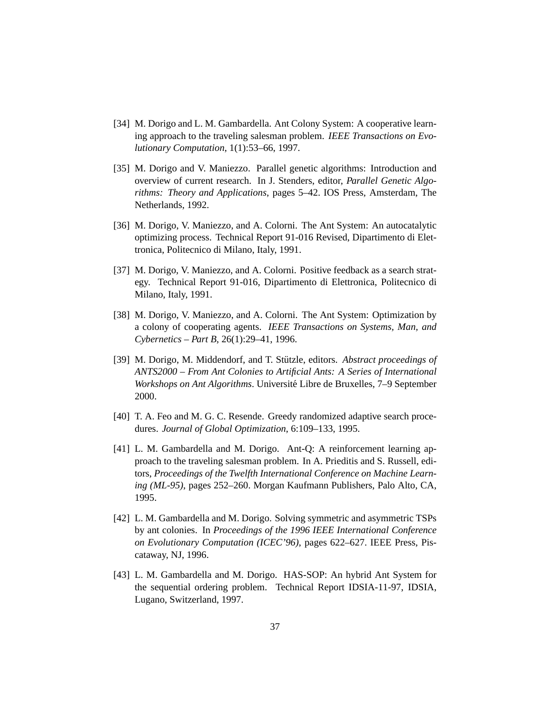- [34] M. Dorigo and L. M. Gambardella. Ant Colony System: A cooperative learning approach to the traveling salesman problem. *IEEE Transactions on Evolutionary Computation*, 1(1):53–66, 1997.
- [35] M. Dorigo and V. Maniezzo. Parallel genetic algorithms: Introduction and overview of current research. In J. Stenders, editor, *Parallel Genetic Algorithms: Theory and Applications*, pages 5–42. IOS Press, Amsterdam, The Netherlands, 1992.
- [36] M. Dorigo, V. Maniezzo, and A. Colorni. The Ant System: An autocatalytic optimizing process. Technical Report 91-016 Revised, Dipartimento di Elettronica, Politecnico di Milano, Italy, 1991.
- [37] M. Dorigo, V. Maniezzo, and A. Colorni. Positive feedback as a search strategy. Technical Report 91-016, Dipartimento di Elettronica, Politecnico di Milano, Italy, 1991.
- [38] M. Dorigo, V. Maniezzo, and A. Colorni. The Ant System: Optimization by a colony of cooperating agents. *IEEE Transactions on Systems, Man, and Cybernetics – Part B*, 26(1):29–41, 1996.
- [39] M. Dorigo, M. Middendorf, and T. Stützle, editors. *Abstract proceedings of ANTS2000 – From Ant Colonies to Artificial Ants: A Series of International Workshops on Ant Algorithms*. Université Libre de Bruxelles, 7–9 September 2000.
- [40] T. A. Feo and M. G. C. Resende. Greedy randomized adaptive search procedures. *Journal of Global Optimization*, 6:109–133, 1995.
- [41] L. M. Gambardella and M. Dorigo. Ant-Q: A reinforcement learning approach to the traveling salesman problem. In A. Prieditis and S. Russell, editors, *Proceedings of the Twelfth International Conference on Machine Learning (ML-95)*, pages 252–260. Morgan Kaufmann Publishers, Palo Alto, CA, 1995.
- [42] L. M. Gambardella and M. Dorigo. Solving symmetric and asymmetric TSPs by ant colonies. In *Proceedings of the 1996 IEEE International Conference on Evolutionary Computation (ICEC'96)*, pages 622–627. IEEE Press, Piscataway, NJ, 1996.
- [43] L. M. Gambardella and M. Dorigo. HAS-SOP: An hybrid Ant System for the sequential ordering problem. Technical Report IDSIA-11-97, IDSIA, Lugano, Switzerland, 1997.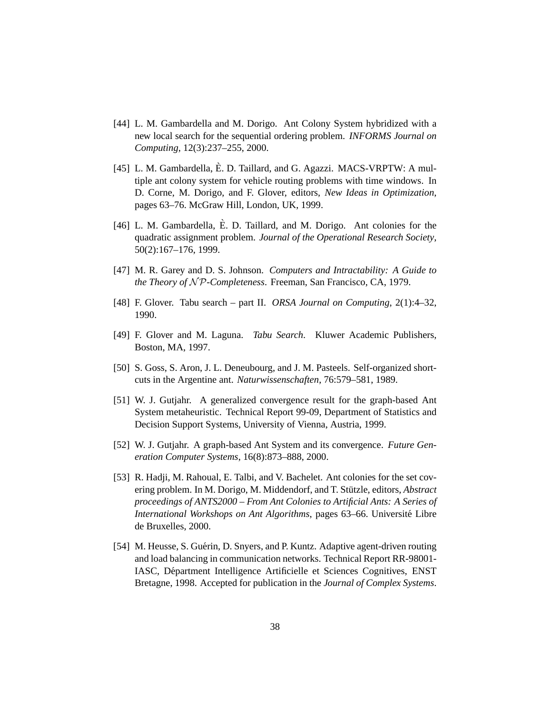- [44] L. M. Gambardella and M. Dorigo. Ant Colony System hybridized with a new local search for the sequential ordering problem. *INFORMS Journal on Computing*, 12(3):237–255, 2000.
- [45] L. M. Gambardella, E. D. Taillard, and G. Agazzi. MACS-VRPTW: A multiple ant colony system for vehicle routing problems with time windows. In D. Corne, M. Dorigo, and F. Glover, editors, *New Ideas in Optimization*, pages 63–76. McGraw Hill, London, UK, 1999.
- [46] L. M. Gambardella, E. D. Taillard, and M. Dorigo. Ant colonies for the ` quadratic assignment problem. *Journal of the Operational Research Society*, 50(2):167–176, 1999.
- [47] M. R. Garey and D. S. Johnson. *Computers and Intractability: A Guide to the Theory of* N P*-Completeness*. Freeman, San Francisco, CA, 1979.
- [48] F. Glover. Tabu search part II. *ORSA Journal on Computing*, 2(1):4–32, 1990.
- [49] F. Glover and M. Laguna. *Tabu Search*. Kluwer Academic Publishers, Boston, MA, 1997.
- [50] S. Goss, S. Aron, J. L. Deneubourg, and J. M. Pasteels. Self-organized shortcuts in the Argentine ant. *Naturwissenschaften*, 76:579–581, 1989.
- [51] W. J. Gutjahr. A generalized convergence result for the graph-based Ant System metaheuristic. Technical Report 99-09, Department of Statistics and Decision Support Systems, University of Vienna, Austria, 1999.
- [52] W. J. Gutjahr. A graph-based Ant System and its convergence. *Future Generation Computer Systems*, 16(8):873–888, 2000.
- [53] R. Hadji, M. Rahoual, E. Talbi, and V. Bachelet. Ant colonies for the set covering problem. In M. Dorigo, M. Middendorf, and T. Stützle, editors, *Abstract proceedings of ANTS2000 – From Ant Colonies to Artificial Ants: A Series of International Workshops on Ant Algorithms*, pages 63–66. Université Libre de Bruxelles, 2000.
- [54] M. Heusse, S. Guérin, D. Snyers, and P. Kuntz. Adaptive agent-driven routing and load balancing in communication networks. Technical Report RR-98001- IASC, Départment Intelligence Artificielle et Sciences Cognitives, ENST Bretagne, 1998. Accepted for publication in the *Journal of Complex Systems*.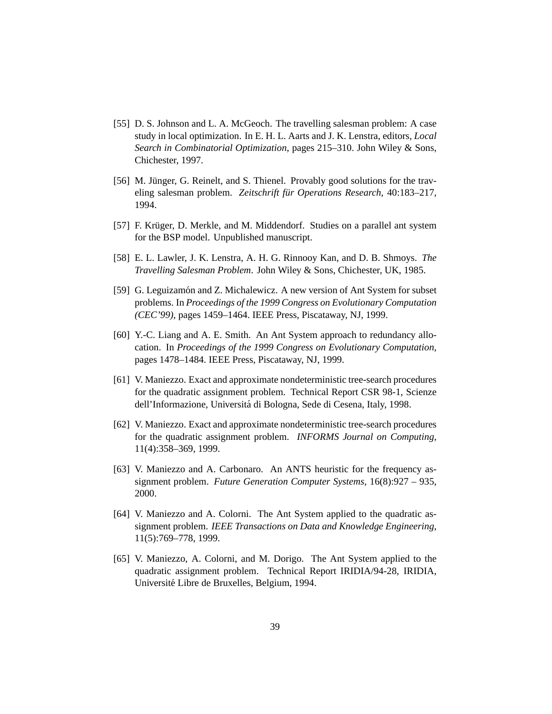- [55] D. S. Johnson and L. A. McGeoch. The travelling salesman problem: A case study in local optimization. In E. H. L. Aarts and J. K. Lenstra, editors, *Local Search in Combinatorial Optimization*, pages 215–310. John Wiley & Sons, Chichester, 1997.
- [56] M. Jünger, G. Reinelt, and S. Thienel. Provably good solutions for the traveling salesman problem. *Zeitschrift für Operations Research*, 40:183-217, 1994.
- [57] F. Krüger, D. Merkle, and M. Middendorf. Studies on a parallel ant system for the BSP model. Unpublished manuscript.
- [58] E. L. Lawler, J. K. Lenstra, A. H. G. Rinnooy Kan, and D. B. Shmoys. *The Travelling Salesman Problem*. John Wiley & Sons, Chichester, UK, 1985.
- [59] G. Leguizamón and Z. Michalewicz. A new version of Ant System for subset problems. In *Proceedings of the 1999 Congress on Evolutionary Computation (CEC'99)*, pages 1459–1464. IEEE Press, Piscataway, NJ, 1999.
- [60] Y.-C. Liang and A. E. Smith. An Ant System approach to redundancy allocation. In *Proceedings of the 1999 Congress on Evolutionary Computation*, pages 1478–1484. IEEE Press, Piscataway, NJ, 1999.
- [61] V. Maniezzo. Exact and approximate nondeterministic tree-search procedures for the quadratic assignment problem. Technical Report CSR 98-1, Scienze dell'Informazione, Universita di Bologna, Sede di Cesena, Italy, 1998. ´
- [62] V. Maniezzo. Exact and approximate nondeterministic tree-search procedures for the quadratic assignment problem. *INFORMS Journal on Computing*, 11(4):358–369, 1999.
- [63] V. Maniezzo and A. Carbonaro. An ANTS heuristic for the frequency assignment problem. *Future Generation Computer Systems*, 16(8):927 – 935, 2000.
- [64] V. Maniezzo and A. Colorni. The Ant System applied to the quadratic assignment problem. *IEEE Transactions on Data and Knowledge Engineering*, 11(5):769–778, 1999.
- [65] V. Maniezzo, A. Colorni, and M. Dorigo. The Ant System applied to the quadratic assignment problem. Technical Report IRIDIA/94-28, IRIDIA, Universite Libre de Bruxelles, Belgium, 1994. ´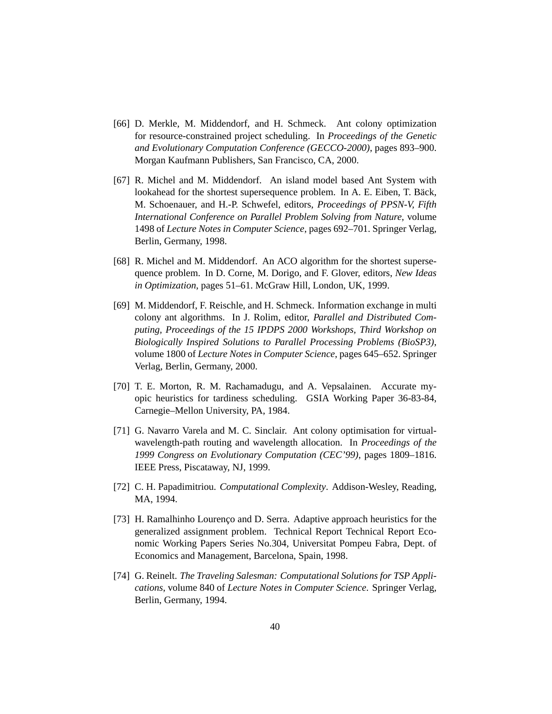- [66] D. Merkle, M. Middendorf, and H. Schmeck. Ant colony optimization for resource-constrained project scheduling. In *Proceedings of the Genetic and Evolutionary Computation Conference (GECCO-2000)*, pages 893–900. Morgan Kaufmann Publishers, San Francisco, CA, 2000.
- [67] R. Michel and M. Middendorf. An island model based Ant System with lookahead for the shortest supersequence problem. In A. E. Eiben, T. Bäck, M. Schoenauer, and H.-P. Schwefel, editors, *Proceedings of PPSN-V, Fifth International Conference on Parallel Problem Solving from Nature*, volume 1498 of *Lecture Notes in Computer Science*, pages 692–701. Springer Verlag, Berlin, Germany, 1998.
- [68] R. Michel and M. Middendorf. An ACO algorithm for the shortest supersequence problem. In D. Corne, M. Dorigo, and F. Glover, editors, *New Ideas in Optimization*, pages 51–61. McGraw Hill, London, UK, 1999.
- [69] M. Middendorf, F. Reischle, and H. Schmeck. Information exchange in multi colony ant algorithms. In J. Rolim, editor, *Parallel and Distributed Computing, Proceedings of the 15 IPDPS 2000 Workshops, Third Workshop on Biologically Inspired Solutions to Parallel Processing Problems (BioSP3)*, volume 1800 of *Lecture Notes in Computer Science*, pages 645–652. Springer Verlag, Berlin, Germany, 2000.
- [70] T. E. Morton, R. M. Rachamadugu, and A. Vepsalainen. Accurate myopic heuristics for tardiness scheduling. GSIA Working Paper 36-83-84, Carnegie–Mellon University, PA, 1984.
- [71] G. Navarro Varela and M. C. Sinclair. Ant colony optimisation for virtualwavelength-path routing and wavelength allocation. In *Proceedings of the 1999 Congress on Evolutionary Computation (CEC'99)*, pages 1809–1816. IEEE Press, Piscataway, NJ, 1999.
- [72] C. H. Papadimitriou. *Computational Complexity*. Addison-Wesley, Reading, MA, 1994.
- [73] H. Ramalhinho Lourenço and D. Serra. Adaptive approach heuristics for the generalized assignment problem. Technical Report Technical Report Economic Working Papers Series No.304, Universitat Pompeu Fabra, Dept. of Economics and Management, Barcelona, Spain, 1998.
- [74] G. Reinelt. *The Traveling Salesman: Computational Solutions for TSP Applications*, volume 840 of *Lecture Notes in Computer Science*. Springer Verlag, Berlin, Germany, 1994.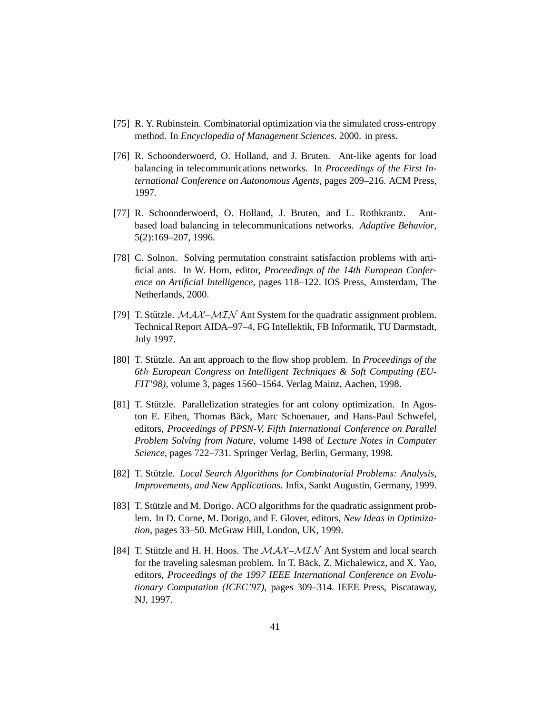- [75] R. Y. Rubinstein. Combinatorial optimization via the simulated cross-entropy method. In *Encyclopedia of Management Sciences*. 2000. in press.
- [76] R. Schoonderwoerd, O. Holland, and J. Bruten. Ant-like agents for load balancing in telecommunications networks. In *Proceedings of the First International Conference on Autonomous Agents*, pages 209–216. ACM Press, 1997.
- [77] R. Schoonderwoerd, O. Holland, J. Bruten, and L. Rothkrantz. Antbased load balancing in telecommunications networks. *Adaptive Behavior*, 5(2):169–207, 1996.
- [78] C. Solnon. Solving permutation constraint satisfaction problems with artificial ants. In W. Horn, editor, *Proceedings of the 14th European Conference on Artificial Intelligence*, pages 118–122. IOS Press, Amsterdam, The Netherlands, 2000.
- [79] T. Stützle.  $MAX-MIN$  Ant System for the quadratic assignment problem. Technical Report AIDA–97–4, FG Intellektik, FB Informatik, TU Darmstadt, July 1997.
- [80] T. Stützle. An ant approach to the flow shop problem. In *Proceedings of the 6*th *European Congress on Intelligent Techniques & Soft Computing (EU-FIT'98)*, volume 3, pages 1560–1564. Verlag Mainz, Aachen, 1998.
- [81] T. Stützle. Parallelization strategies for ant colony optimization. In Agoston E. Eiben, Thomas Bäck, Marc Schoenauer, and Hans-Paul Schwefel, editors, *Proceedings of PPSN-V, Fifth International Conference on Parallel Problem Solving from Nature*, volume 1498 of *Lecture Notes in Computer Science*, pages 722–731. Springer Verlag, Berlin, Germany, 1998.
- [82] T. Stützle. *Local Search Algorithms for Combinatorial Problems: Analysis, Improvements, and New Applications*. Infix, Sankt Augustin, Germany, 1999.
- [83] T. Stützle and M. Dorigo. ACO algorithms for the quadratic assignment problem. In D. Corne, M. Dorigo, and F. Glover, editors, *New Ideas in Optimization*, pages 33–50. McGraw Hill, London, UK, 1999.
- [84] T. Stützle and H. H. Hoos. The  $MAX-MIN$  Ant System and local search for the traveling salesman problem. In T. Bäck, Z. Michalewicz, and X. Yao, editors, *Proceedings of the 1997 IEEE International Conference on Evolutionary Computation (ICEC'97)*, pages 309–314. IEEE Press, Piscataway, NJ, 1997.